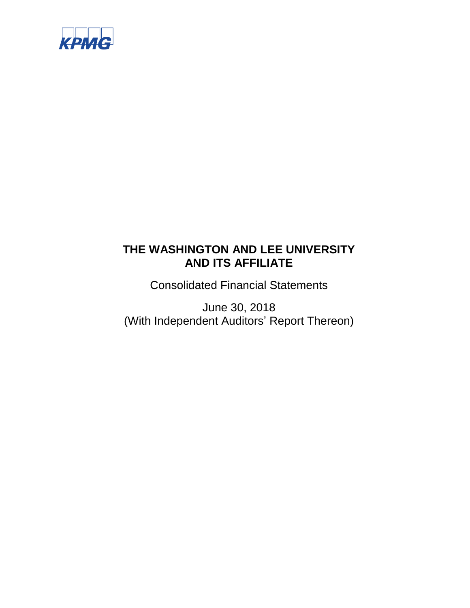

Consolidated Financial Statements

June 30, 2018 (With Independent Auditors' Report Thereon)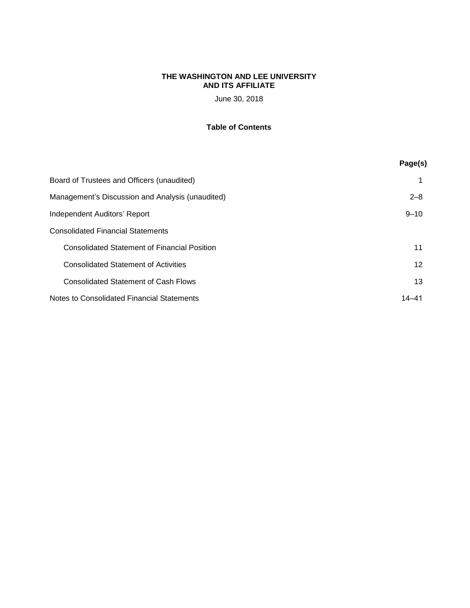June 30, 2018

# **Table of Contents**

|                                                     | Page(s)  |
|-----------------------------------------------------|----------|
| Board of Trustees and Officers (unaudited)          |          |
| Management's Discussion and Analysis (unaudited)    | $2 - 8$  |
| Independent Auditors' Report                        | $9 - 10$ |
| <b>Consolidated Financial Statements</b>            |          |
| <b>Consolidated Statement of Financial Position</b> | 11       |
| <b>Consolidated Statement of Activities</b>         | 12       |
| <b>Consolidated Statement of Cash Flows</b>         | 13       |
| Notes to Consolidated Financial Statements          | 14–41    |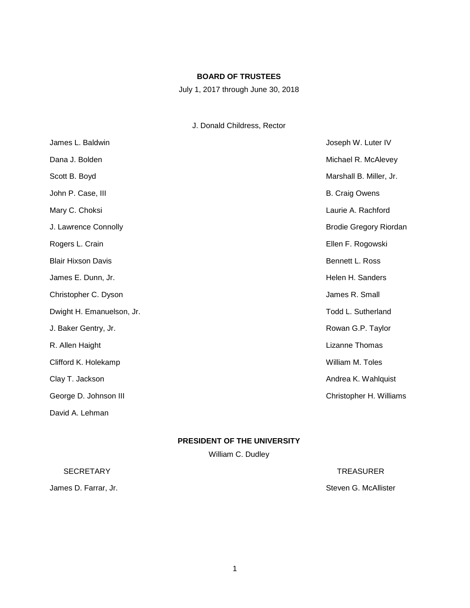# **BOARD OF TRUSTEES**

July 1, 2017 through June 30, 2018

# J. Donald Childress, Rector

| James L. Baldwin          | Joseph W. Luter IV            |
|---------------------------|-------------------------------|
| Dana J. Bolden            | Michael R. McAlevey           |
| Scott B. Boyd             | Marshall B. Miller, Jr.       |
| John P. Case, III         | <b>B.</b> Craig Owens         |
| Mary C. Choksi            | Laurie A. Rachford            |
| J. Lawrence Connolly      | <b>Brodie Gregory Riordan</b> |
| Rogers L. Crain           | Ellen F. Rogowski             |
| <b>Blair Hixson Davis</b> | Bennett L. Ross               |
| James E. Dunn, Jr.        | Helen H. Sanders              |
| Christopher C. Dyson      | James R. Small                |
| Dwight H. Emanuelson, Jr. | Todd L. Sutherland            |
| J. Baker Gentry, Jr.      | Rowan G.P. Taylor             |
| R. Allen Haight           | Lizanne Thomas                |
| Clifford K. Holekamp      | William M. Toles              |
| Clay T. Jackson           | Andrea K. Wahlquist           |
| George D. Johnson III     | Christopher H. Williams       |
| David A. Lehman           |                               |

# **PRESIDENT OF THE UNIVERSITY**

William C. Dudley

SECRETARY TREASURER

James D. Farrar, Jr. Steven G. McAllister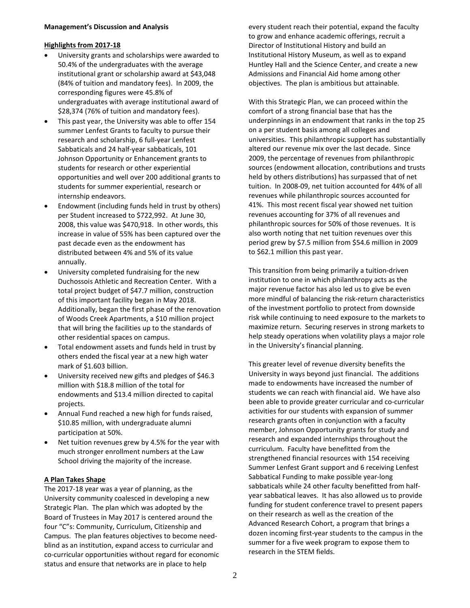#### **Highlights from 2017-18**

- University grants and scholarships were awarded to 50.4% of the undergraduates with the average institutional grant or scholarship award at \$43,048 (84% of tuition and mandatory fees). In 2009, the corresponding figures were 45.8% of undergraduates with average institutional award of \$28,374 (76% of tuition and mandatory fees).
- This past year, the University was able to offer 154 summer Lenfest Grants to faculty to pursue their research and scholarship, 6 full-year Lenfest Sabbaticals and 24 half-year sabbaticals, 101 Johnson Opportunity or Enhancement grants to students for research or other experiential opportunities and well over 200 additional grants to students for summer experiential, research or internship endeavors.
- Endowment (including funds held in trust by others) per Student increased to \$722,992. At June 30, 2008, this value was \$470,918. In other words, this increase in value of 55% has been captured over the past decade even as the endowment has distributed between 4% and 5% of its value annually.
- University completed fundraising for the new Duchossois Athletic and Recreation Center. With a total project budget of \$47.7 million, construction of this important facility began in May 2018. Additionally, began the first phase of the renovation of Woods Creek Apartments, a \$10 million project that will bring the facilities up to the standards of other residential spaces on campus.
- Total endowment assets and funds held in trust by others ended the fiscal year at a new high water mark of \$1.603 billion.
- University received new gifts and pledges of \$46.3 million with \$18.8 million of the total for endowments and \$13.4 million directed to capital projects.
- Annual Fund reached a new high for funds raised, \$10.85 million, with undergraduate alumni participation at 50%.
- Net tuition revenues grew by 4.5% for the year with much stronger enrollment numbers at the Law School driving the majority of the increase.

# **A Plan Takes Shape**

The 2017-18 year was a year of planning, as the University community coalesced in developing a new Strategic Plan. The plan which was adopted by the Board of Trustees in May 2017 is centered around the four "C"s: Community, Curriculum, Citizenship and Campus. The plan features objectives to become needblind as an institution, expand access to curricular and co-curricular opportunities without regard for economic status and ensure that networks are in place to help

every student reach their potential, expand the faculty to grow and enhance academic offerings, recruit a Director of Institutional History and build an Institutional History Museum, as well as to expand Huntley Hall and the Science Center, and create a new Admissions and Financial Aid home among other objectives. The plan is ambitious but attainable.

With this Strategic Plan, we can proceed within the comfort of a strong financial base that has the underpinnings in an endowment that ranks in the top 25 on a per student basis among all colleges and universities. This philanthropic support has substantially altered our revenue mix over the last decade. Since 2009, the percentage of revenues from philanthropic sources (endowment allocation, contributions and trusts held by others distributions) has surpassed that of net tuition. In 2008-09, net tuition accounted for 44% of all revenues while philanthropic sources accounted for 41%. This most recent fiscal year showed net tuition revenues accounting for 37% of all revenues and philanthropic sources for 50% of those revenues. It is also worth noting that net tuition revenues over this period grew by \$7.5 million from \$54.6 million in 2009 to \$62.1 million this past year.

This transition from being primarily a tuition-driven institution to one in which philanthropy acts as the major revenue factor has also led us to give be even more mindful of balancing the risk-return characteristics of the investment portfolio to protect from downside risk while continuing to need exposure to the markets to maximize return. Securing reserves in strong markets to help steady operations when volatility plays a major role in the University's financial planning.

This greater level of revenue diversity benefits the University in ways beyond just financial. The additions made to endowments have increased the number of students we can reach with financial aid. We have also been able to provide greater curricular and co-curricular activities for our students with expansion of summer research grants often in conjunction with a faculty member, Johnson Opportunity grants for study and research and expanded internships throughout the curriculum. Faculty have benefitted from the strengthened financial resources with 154 receiving Summer Lenfest Grant support and 6 receiving Lenfest Sabbatical Funding to make possible year-long sabbaticals while 24 other faculty benefitted from halfyear sabbatical leaves. It has also allowed us to provide funding for student conference travel to present papers on their research as well as the creation of the Advanced Research Cohort, a program that brings a dozen incoming first-year students to the campus in the summer for a five week program to expose them to research in the STEM fields.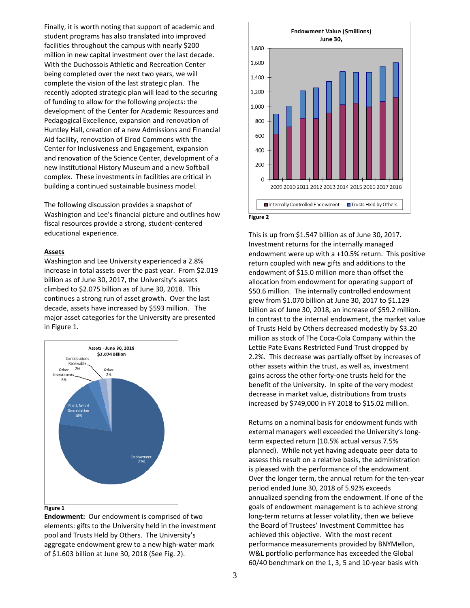Finally, it is worth noting that support of academic and student programs has also translated into improved facilities throughout the campus with nearly \$200 million in new capital investment over the last decade. With the Duchossois Athletic and Recreation Center being completed over the next two years, we will complete the vision of the last strategic plan. The recently adopted strategic plan will lead to the securing of funding to allow for the following projects: the development of the Center for Academic Resources and Pedagogical Excellence, expansion and renovation of Huntley Hall, creation of a new Admissions and Financial Aid facility, renovation of Elrod Commons with the Center for Inclusiveness and Engagement, expansion and renovation of the Science Center, development of a new Institutional History Museum and a new Softball complex. These investments in facilities are critical in building a continued sustainable business model.

The following discussion provides a snapshot of Washington and Lee's financial picture and outlines how fiscal resources provide a strong, student-centered educational experience.

#### **Assets**

Washington and Lee University experienced a 2.8% increase in total assets over the past year. From \$2.019 billion as of June 30, 2017, the University's assets climbed to \$2.075 billion as of June 30, 2018. This continues a strong run of asset growth. Over the last decade, assets have increased by \$593 million. The major asset categories for the University are presented in Figure 1.



#### **Figure 1**

**Endowment:** Our endowment is comprised of two elements: gifts to the University held in the investment pool and Trusts Held by Others. The University's aggregate endowment grew to a new high-water mark of \$1.603 billion at June 30, 2018 (See Fig. 2).



This is up from \$1.547 billion as of June 30, 2017. Investment returns for the internally managed endowment were up with a +10.5% return. This positive return coupled with new gifts and additions to the endowment of \$15.0 million more than offset the allocation from endowment for operating support of \$50.6 million. The internally controlled endowment grew from \$1.070 billion at June 30, 2017 to \$1.129 billion as of June 30, 2018, an increase of \$59.2 million. In contrast to the internal endowment, the market value of Trusts Held by Others decreased modestly by \$3.20 million as stock of The Coca-Cola Company within the Lettie Pate Evans Restricted Fund Trust dropped by 2.2%. This decrease was partially offset by increases of other assets within the trust, as well as, investment gains across the other forty-one trusts held for the benefit of the University. In spite of the very modest decrease in market value, distributions from trusts increased by \$749,000 in FY 2018 to \$15.02 million.

Returns on a nominal basis for endowment funds with external managers well exceeded the University's longterm expected return (10.5% actual versus 7.5% planned). While not yet having adequate peer data to assess this result on a relative basis, the administration is pleased with the performance of the endowment. Over the longer term, the annual return for the ten-year period ended June 30, 2018 of 5.92% exceeds annualized spending from the endowment. If one of the goals of endowment management is to achieve strong long-term returns at lesser volatility, then we believe the Board of Trustees' Investment Committee has achieved this objective. With the most recent performance measurements provided by BNYMellon, W&L portfolio performance has exceeded the Global 60/40 benchmark on the 1, 3, 5 and 10-year basis with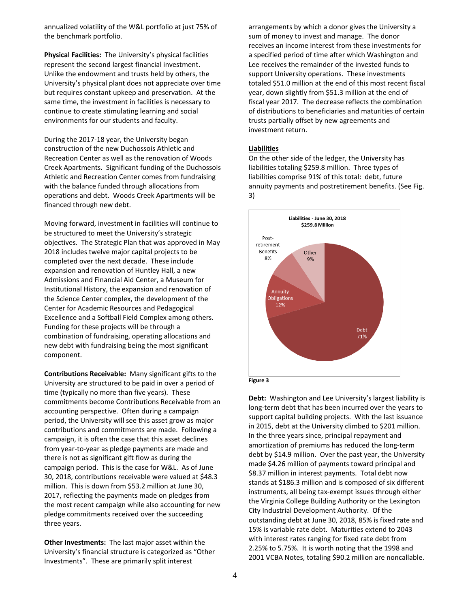annualized volatility of the W&L portfolio at just 75% of the benchmark portfolio.

**Physical Facilities:** The University's physical facilities represent the second largest financial investment. Unlike the endowment and trusts held by others, the University's physical plant does not appreciate over time but requires constant upkeep and preservation. At the same time, the investment in facilities is necessary to continue to create stimulating learning and social environments for our students and faculty.

During the 2017-18 year, the University began construction of the new Duchossois Athletic and Recreation Center as well as the renovation of Woods Creek Apartments. Significant funding of the Duchossois Athletic and Recreation Center comes from fundraising with the balance funded through allocations from operations and debt. Woods Creek Apartments will be financed through new debt.

Moving forward, investment in facilities will continue to be structured to meet the University's strategic objectives. The Strategic Plan that was approved in May 2018 includes twelve major capital projects to be completed over the next decade. These include expansion and renovation of Huntley Hall, a new Admissions and Financial Aid Center, a Museum for Institutional History, the expansion and renovation of the Science Center complex, the development of the Center for Academic Resources and Pedagogical Excellence and a Softball Field Complex among others. Funding for these projects will be through a combination of fundraising, operating allocations and new debt with fundraising being the most significant component.

**Contributions Receivable:** Many significant gifts to the University are structured to be paid in over a period of time (typically no more than five years). These commitments become Contributions Receivable from an accounting perspective. Often during a campaign period, the University will see this asset grow as major contributions and commitments are made. Following a campaign, it is often the case that this asset declines from year-to-year as pledge payments are made and there is not as significant gift flow as during the campaign period. This is the case for W&L. As of June 30, 2018, contributions receivable were valued at \$48.3 million. This is down from \$53.2 million at June 30, 2017, reflecting the payments made on pledges from the most recent campaign while also accounting for new pledge commitments received over the succeeding three years.

**Other Investments:** The last major asset within the University's financial structure is categorized as "Other Investments". These are primarily split interest

arrangements by which a donor gives the University a sum of money to invest and manage. The donor receives an income interest from these investments for a specified period of time after which Washington and Lee receives the remainder of the invested funds to support University operations. These investments totaled \$51.0 million at the end of this most recent fiscal year, down slightly from \$51.3 million at the end of fiscal year 2017. The decrease reflects the combination of distributions to beneficiaries and maturities of certain trusts partially offset by new agreements and investment return.

#### **Liabilities**

On the other side of the ledger, the University has liabilities totaling \$259.8 million. Three types of liabilities comprise 91% of this total: debt, future annuity payments and postretirement benefits. (See Fig. 3)



#### **Figure 3**

**Debt:** Washington and Lee University's largest liability is long-term debt that has been incurred over the years to support capital building projects. With the last issuance in 2015, debt at the University climbed to \$201 million. In the three years since, principal repayment and amortization of premiums has reduced the long-term debt by \$14.9 million. Over the past year, the University made \$4.26 million of payments toward principal and \$8.37 million in interest payments. Total debt now stands at \$186.3 million and is composed of six different instruments, all being tax-exempt issues through either the Virginia College Building Authority or the Lexington City Industrial Development Authority. Of the outstanding debt at June 30, 2018, 85% is fixed rate and 15% is variable rate debt. Maturities extend to 2043 with interest rates ranging for fixed rate debt from 2.25% to 5.75%. It is worth noting that the 1998 and 2001 VCBA Notes, totaling \$90.2 million are noncallable.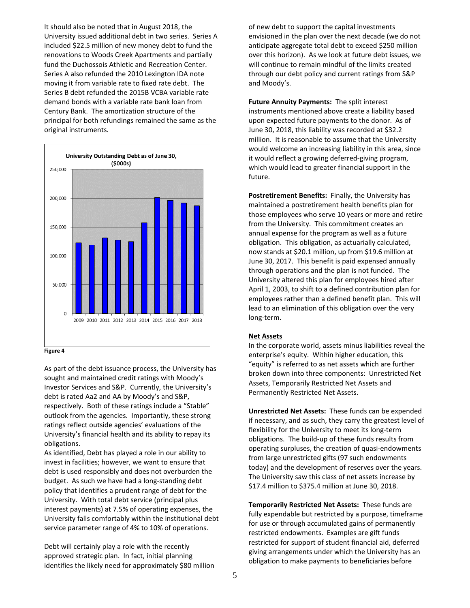It should also be noted that in August 2018, the University issued additional debt in two series. Series A included \$22.5 million of new money debt to fund the renovations to Woods Creek Apartments and partially fund the Duchossois Athletic and Recreation Center. Series A also refunded the 2010 Lexington IDA note moving it from variable rate to fixed rate debt. The Series B debt refunded the 2015B VCBA variable rate demand bonds with a variable rate bank loan from Century Bank. The amortization structure of the principal for both refundings remained the same as the original instruments.



As part of the debt issuance process, the University has sought and maintained credit ratings with Moody's Investor Services and S&P. Currently, the University's debt is rated Aa2 and AA by Moody's and S&P, respectively. Both of these ratings include a "Stable" outlook from the agencies. Importantly, these strong ratings reflect outside agencies' evaluations of the University's financial health and its ability to repay its obligations.

As identified, Debt has played a role in our ability to invest in facilities; however, we want to ensure that debt is used responsibly and does not overburden the budget. As such we have had a long-standing debt policy that identifies a prudent range of debt for the University. With total debt service (principal plus interest payments) at 7.5% of operating expenses, the University falls comfortably within the institutional debt service parameter range of 4% to 10% of operations.

Debt will certainly play a role with the recently approved strategic plan. In fact, initial planning identifies the likely need for approximately \$80 million of new debt to support the capital investments envisioned in the plan over the next decade (we do not anticipate aggregate total debt to exceed \$250 million over this horizon). As we look at future debt issues, we will continue to remain mindful of the limits created through our debt policy and current ratings from S&P and Moody's.

**Future Annuity Payments:** The split interest instruments mentioned above create a liability based upon expected future payments to the donor. As of June 30, 2018, this liability was recorded at \$32.2 million. It is reasonable to assume that the University would welcome an increasing liability in this area, since it would reflect a growing deferred-giving program, which would lead to greater financial support in the future.

**Postretirement Benefits:** Finally, the University has maintained a postretirement health benefits plan for those employees who serve 10 years or more and retire from the University. This commitment creates an annual expense for the program as well as a future obligation. This obligation, as actuarially calculated, now stands at \$20.1 million, up from \$19.6 million at June 30, 2017. This benefit is paid expensed annually through operations and the plan is not funded. The University altered this plan for employees hired after April 1, 2003, to shift to a defined contribution plan for employees rather than a defined benefit plan. This will lead to an elimination of this obligation over the very long-term.

#### **Net Assets**

In the corporate world, assets minus liabilities reveal the enterprise's equity. Within higher education, this "equity" is referred to as net assets which are further broken down into three components: Unrestricted Net Assets, Temporarily Restricted Net Assets and Permanently Restricted Net Assets.

**Unrestricted Net Assets:** These funds can be expended if necessary, and as such, they carry the greatest level of flexibility for the University to meet its long-term obligations. The build-up of these funds results from operating surpluses, the creation of quasi-endowments from large unrestricted gifts (97 such endowments today) and the development of reserves over the years. The University saw this class of net assets increase by \$17.4 million to \$375.4 million at June 30, 2018.

**Temporarily Restricted Net Assets:** These funds are fully expendable but restricted by a purpose, timeframe for use or through accumulated gains of permanently restricted endowments. Examples are gift funds restricted for support of student financial aid, deferred giving arrangements under which the University has an obligation to make payments to beneficiaries before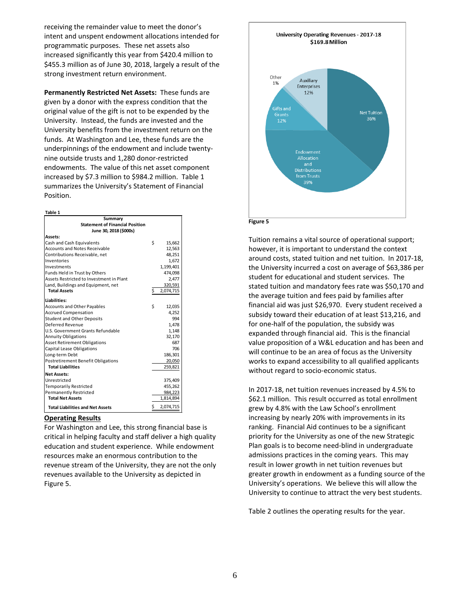receiving the remainder value to meet the donor's intent and unspent endowment allocations intended for programmatic purposes. These net assets also increased significantly this year from \$420.4 million to \$455.3 million as of June 30, 2018, largely a result of the strong investment return environment.

**Permanently Restricted Net Assets:** These funds are given by a donor with the express condition that the original value of the gift is not to be expended by the University. Instead, the funds are invested and the University benefits from the investment return on the funds. At Washington and Lee, these funds are the underpinnings of the endowment and include twentynine outside trusts and 1,280 donor-restricted endowments. The value of this net asset component increased by \$7.3 million to \$984.2 million. Table 1 summarizes the University's Statement of Financial Position.

| Table 1                                  |    |           |
|------------------------------------------|----|-----------|
| Summary                                  |    |           |
| <b>Statement of Financial Position</b>   |    |           |
| June 30, 2018 (\$000s)                   |    |           |
| Assets:                                  |    |           |
| Cash and Cash Equivalents                | Ś  | 15,662    |
| <b>Accounts and Notes Receivable</b>     |    | 12,563    |
| Contributions Receivable, net            |    | 48,251    |
| Inventories                              |    | 1,672     |
| Investments                              |    | 1,199,401 |
| Funds Held in Trust by Others            |    | 474,098   |
| Assets Restricted to Investment in Plant |    | 2,477     |
| Land, Buildings and Equipment, net       |    | 320,591   |
| <b>Total Assets</b>                      | \$ | 2,074,715 |
| Liabilities:                             |    |           |
| Accounts and Other Payables              | Ś  | 12,035    |
| <b>Accrued Compensation</b>              |    | 4,252     |
| <b>Student and Other Deposits</b>        |    | 994       |
| Deferred Revenue                         |    | 1,478     |
| U.S. Government Grants Refundable        |    | 1,148     |
| <b>Annuity Obligations</b>               |    | 32,170    |
| <b>Asset Retirement Obligations</b>      |    | 687       |
| Capital Lease Obligations                |    | 706       |
| Long-term Debt                           |    | 186,301   |
| Postretirement Benefit Obligations       |    | 20,050    |
| <b>Total Liabilities</b>                 |    | 259,821   |
| <b>Net Assets:</b>                       |    |           |
| Unrestricted                             |    | 375,409   |
| <b>Temporarily Restricted</b>            |    | 455,262   |
| Permanently Restricted                   |    | 984,223   |
| <b>Total Net Assets</b>                  |    | 1,814,894 |
| <b>Total Liabilities and Net Assets</b>  | \$ | 2,074,715 |

#### **Operating Results**

For Washington and Lee, this strong financial base is critical in helping faculty and staff deliver a high quality education and student experience. While endowment resources make an enormous contribution to the revenue stream of the University, they are not the only revenues available to the University as depicted in Figure 5.



#### **Figure 5**

Tuition remains a vital source of operational support; however, it is important to understand the context around costs, stated tuition and net tuition. In 2017-18, the University incurred a cost on average of \$63,386 per student for educational and student services. The stated tuition and mandatory fees rate was \$50,170 and the average tuition and fees paid by families after financial aid was just \$26,970. Every student received a subsidy toward their education of at least \$13,216, and for one-half of the population, the subsidy was expanded through financial aid. This is the financial value proposition of a W&L education and has been and will continue to be an area of focus as the University works to expand accessibility to all qualified applicants without regard to socio-economic status.

In 2017-18, net tuition revenues increased by 4.5% to \$62.1 million. This result occurred as total enrollment grew by 4.8% with the Law School's enrollment increasing by nearly 20% with improvements in its ranking. Financial Aid continues to be a significant priority for the University as one of the new Strategic Plan goals is to become need-blind in undergraduate admissions practices in the coming years. This may result in lower growth in net tuition revenues but greater growth in endowment as a funding source of the University's operations. We believe this will allow the University to continue to attract the very best students.

Table 2 outlines the operating results for the year.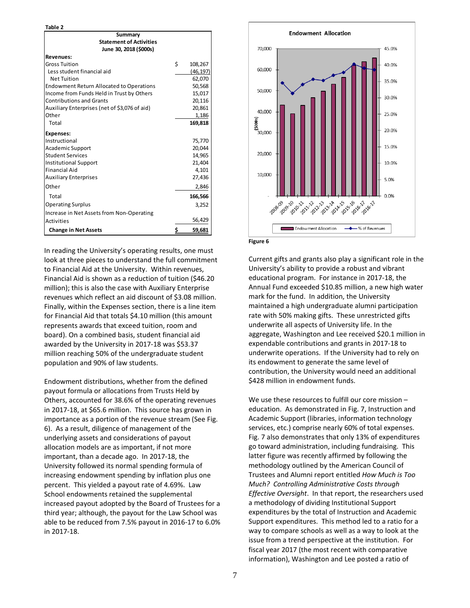**Table 2**

| Summary                                         |    |          |
|-------------------------------------------------|----|----------|
| <b>Statement of Activities</b>                  |    |          |
| June 30, 2018 (\$000s)                          |    |          |
| <b>Revenues:</b>                                |    |          |
| <b>Gross Tuition</b>                            | Ś  | 108,267  |
| Less student financial aid                      |    | (46,197) |
| <b>Net Tuition</b>                              |    | 62,070   |
| <b>Endowment Return Allocated to Operations</b> |    | 50,568   |
| Income from Funds Held in Trust by Others       |    | 15,017   |
| <b>Contributions and Grants</b>                 |    | 20,116   |
| Auxiliary Enterprises (net of \$3,076 of aid)   |    | 20,861   |
| Other                                           |    | 1,186    |
| Total                                           |    | 169,818  |
| <b>Expenses:</b>                                |    |          |
| Instructional                                   |    | 75,770   |
| Academic Support                                |    | 20,044   |
| <b>Student Services</b>                         |    | 14,965   |
| <b>Institutional Support</b>                    |    | 21,404   |
| <b>Financial Aid</b>                            |    | 4,101    |
| <b>Auxiliary Enterprises</b>                    |    | 27,436   |
| Other                                           |    | 2,846    |
| Total                                           |    | 166,566  |
| <b>Operating Surplus</b>                        |    | 3,252    |
| Increase in Net Assets from Non-Operating       |    |          |
| <b>Activities</b>                               |    | 56,429   |
| <b>Change in Net Assets</b>                     | \$ | 59,681   |

In reading the University's operating results, one must look at three pieces to understand the full commitment to Financial Aid at the University. Within revenues, Financial Aid is shown as a reduction of tuition (\$46.20 million); this is also the case with Auxiliary Enterprise revenues which reflect an aid discount of \$3.08 million. Finally, within the Expenses section, there is a line item for Financial Aid that totals \$4.10 million (this amount represents awards that exceed tuition, room and board). On a combined basis, student financial aid awarded by the University in 2017-18 was \$53.37 million reaching 50% of the undergraduate student population and 90% of law students.

Endowment distributions, whether from the defined payout formula or allocations from Trusts Held by Others, accounted for 38.6% of the operating revenues in 2017-18, at \$65.6 million. This source has grown in importance as a portion of the revenue stream (See Fig. 6). As a result, diligence of management of the underlying assets and considerations of payout allocation models are as important, if not more important, than a decade ago. In 2017-18, the University followed its normal spending formula of increasing endowment spending by inflation plus one percent. This yielded a payout rate of 4.69%. Law School endowments retained the supplemental increased payout adopted by the Board of Trustees for a third year; although, the payout for the Law School was able to be reduced from 7.5% payout in 2016-17 to 6.0% in 2017-18.





Current gifts and grants also play a significant role in the University's ability to provide a robust and vibrant educational program. For instance in 2017-18, the Annual Fund exceeded \$10.85 million, a new high water mark for the fund. In addition, the University maintained a high undergraduate alumni participation rate with 50% making gifts. These unrestricted gifts underwrite all aspects of University life. In the aggregate, Washington and Lee received \$20.1 million in expendable contributions and grants in 2017-18 to underwrite operations. If the University had to rely on its endowment to generate the same level of contribution, the University would need an additional \$428 million in endowment funds.

We use these resources to fulfill our core mission – education. As demonstrated in Fig. 7, Instruction and Academic Support (libraries, information technology services, etc.) comprise nearly 60% of total expenses. Fig. 7 also demonstrates that only 13% of expenditures go toward administration, including fundraising. This latter figure was recently affirmed by following the methodology outlined by the American Council of Trustees and Alumni report entitled *How Much is Too Much? Controlling Administrative Costs through Effective Oversight*. In that report, the researchers used a methodology of dividing Institutional Support expenditures by the total of Instruction and Academic Support expenditures. This method led to a ratio for a way to compare schools as well as a way to look at the issue from a trend perspective at the institution. For fiscal year 2017 (the most recent with comparative information), Washington and Lee posted a ratio of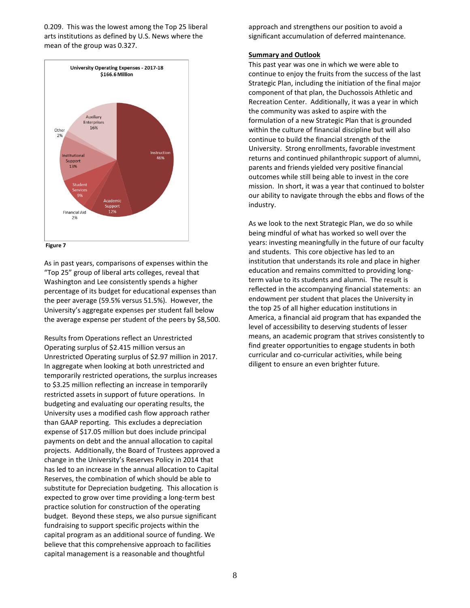0.209. This was the lowest among the Top 25 liberal arts institutions as defined by U.S. News where the mean of the group was 0.327.





As in past years, comparisons of expenses within the "Top 25" group of liberal arts colleges, reveal that Washington and Lee consistently spends a higher percentage of its budget for educational expenses than the peer average (59.5% versus 51.5%). However, the University's aggregate expenses per student fall below the average expense per student of the peers by \$8,500.

Results from Operations reflect an Unrestricted Operating surplus of \$2.415 million versus an Unrestricted Operating surplus of \$2.97 million in 2017. In aggregate when looking at both unrestricted and temporarily restricted operations, the surplus increases to \$3.25 million reflecting an increase in temporarily restricted assets in support of future operations. In budgeting and evaluating our operating results, the University uses a modified cash flow approach rather than GAAP reporting. This excludes a depreciation expense of \$17.05 million but does include principal payments on debt and the annual allocation to capital projects. Additionally, the Board of Trustees approved a change in the University's Reserves Policy in 2014 that has led to an increase in the annual allocation to Capital Reserves, the combination of which should be able to substitute for Depreciation budgeting. This allocation is expected to grow over time providing a long-term best practice solution for construction of the operating budget. Beyond these steps, we also pursue significant fundraising to support specific projects within the capital program as an additional source of funding. We believe that this comprehensive approach to facilities capital management is a reasonable and thoughtful

approach and strengthens our position to avoid a significant accumulation of deferred maintenance.

#### **Summary and Outlook**

This past year was one in which we were able to continue to enjoy the fruits from the success of the last Strategic Plan, including the initiation of the final major component of that plan, the Duchossois Athletic and Recreation Center. Additionally, it was a year in which the community was asked to aspire with the formulation of a new Strategic Plan that is grounded within the culture of financial discipline but will also continue to build the financial strength of the University. Strong enrollments, favorable investment returns and continued philanthropic support of alumni, parents and friends yielded very positive financial outcomes while still being able to invest in the core mission. In short, it was a year that continued to bolster our ability to navigate through the ebbs and flows of the industry.

As we look to the next Strategic Plan, we do so while being mindful of what has worked so well over the years: investing meaningfully in the future of our faculty and students. This core objective has led to an institution that understands its role and place in higher education and remains committed to providing longterm value to its students and alumni. The result is reflected in the accompanying financial statements: an endowment per student that places the University in the top 25 of all higher education institutions in America, a financial aid program that has expanded the level of accessibility to deserving students of lesser means, an academic program that strives consistently to find greater opportunities to engage students in both curricular and co-curricular activities, while being diligent to ensure an even brighter future.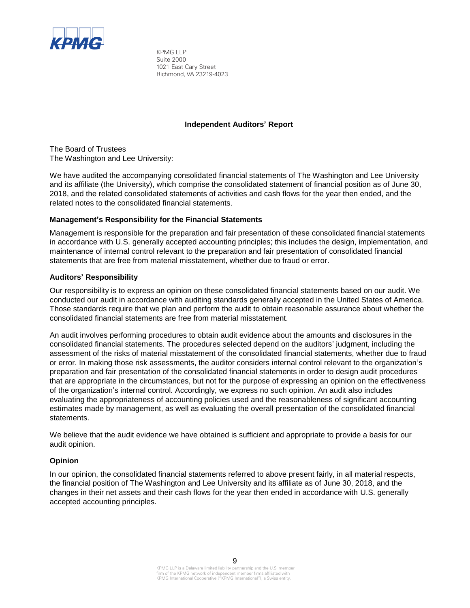

KPMG LLP Suite 2000 1021 East Cary Street Richmond, VA 23219-4023

# **Independent Auditors' Report**

The Board of Trustees The Washington and Lee University:

We have audited the accompanying consolidated financial statements of The Washington and Lee University and its affiliate (the University), which comprise the consolidated statement of financial position as of June 30, 2018, and the related consolidated statements of activities and cash flows for the year then ended, and the related notes to the consolidated financial statements.

# **Management's Responsibility for the Financial Statements**

Management is responsible for the preparation and fair presentation of these consolidated financial statements in accordance with U.S. generally accepted accounting principles; this includes the design, implementation, and maintenance of internal control relevant to the preparation and fair presentation of consolidated financial statements that are free from material misstatement, whether due to fraud or error.

# **Auditors' Responsibility**

Our responsibility is to express an opinion on these consolidated financial statements based on our audit. We conducted our audit in accordance with auditing standards generally accepted in the United States of America. Those standards require that we plan and perform the audit to obtain reasonable assurance about whether the consolidated financial statements are free from material misstatement.

An audit involves performing procedures to obtain audit evidence about the amounts and disclosures in the consolidated financial statements. The procedures selected depend on the auditors' judgment, including the assessment of the risks of material misstatement of the consolidated financial statements, whether due to fraud or error. In making those risk assessments, the auditor considers internal control relevant to the organization's preparation and fair presentation of the consolidated financial statements in order to design audit procedures that are appropriate in the circumstances, but not for the purpose of expressing an opinion on the effectiveness of the organization's internal control. Accordingly, we express no such opinion. An audit also includes evaluating the appropriateness of accounting policies used and the reasonableness of significant accounting estimates made by management, as well as evaluating the overall presentation of the consolidated financial statements.

We believe that the audit evidence we have obtained is sufficient and appropriate to provide a basis for our audit opinion.

# **Opinion**

In our opinion, the consolidated financial statements referred to above present fairly, in all material respects, the financial position of The Washington and Lee University and its affiliate as of June 30, 2018, and the changes in their net assets and their cash flows for the year then ended in accordance with U.S. generally accepted accounting principles.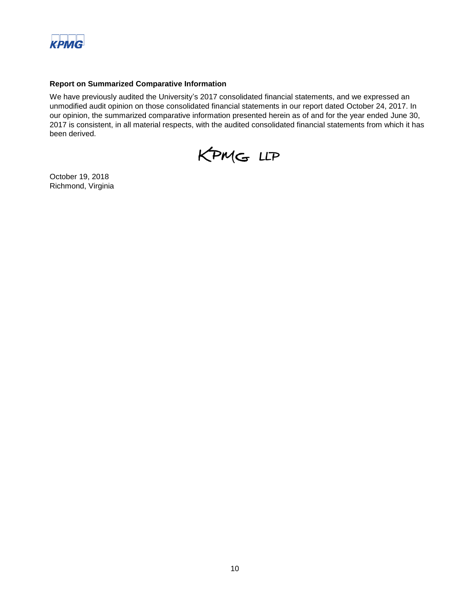

# **Report on Summarized Comparative Information**

We have previously audited the University's 2017 consolidated financial statements, and we expressed an unmodified audit opinion on those consolidated financial statements in our report dated October 24, 2017. In our opinion, the summarized comparative information presented herein as of and for the year ended June 30, 2017 is consistent, in all material respects, with the audited consolidated financial statements from which it has been derived.



October 19, 2018 Richmond, Virginia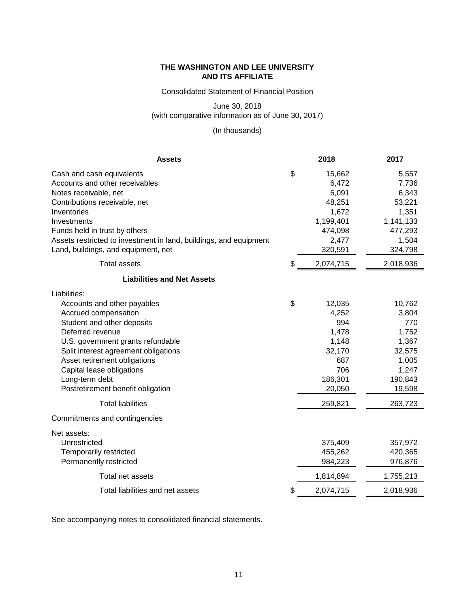Consolidated Statement of Financial Position

June 30, 2018 (with comparative information as of June 30, 2017)

(In thousands)

| <b>Assets</b>                                                     | 2018            | 2017      |
|-------------------------------------------------------------------|-----------------|-----------|
| Cash and cash equivalents                                         | \$<br>15,662    | 5,557     |
| Accounts and other receivables                                    | 6,472           | 7,736     |
| Notes receivable, net                                             | 6,091           | 6,343     |
| Contributions receivable, net                                     | 48,251          | 53,221    |
| Inventories                                                       | 1,672           | 1,351     |
| Investments                                                       | 1,199,401       | 1,141,133 |
| Funds held in trust by others                                     | 474,098         | 477,293   |
| Assets restricted to investment in land, buildings, and equipment | 2,477           | 1,504     |
| Land, buildings, and equipment, net                               | 320,591         | 324,798   |
| <b>Total assets</b>                                               | \$<br>2,074,715 | 2,018,936 |
| <b>Liabilities and Net Assets</b>                                 |                 |           |
| Liabilities:                                                      |                 |           |
| Accounts and other payables                                       | \$<br>12,035    | 10,762    |
| Accrued compensation                                              | 4,252           | 3,804     |
| Student and other deposits                                        | 994             | 770       |
| Deferred revenue                                                  | 1,478           | 1,752     |
| U.S. government grants refundable                                 | 1,148           | 1,367     |
| Split interest agreement obligations                              | 32,170          | 32,575    |
| Asset retirement obligations                                      | 687             | 1,005     |
| Capital lease obligations                                         | 706             | 1,247     |
| Long-term debt                                                    | 186,301         | 190,843   |
| Postretirement benefit obligation                                 | 20,050          | 19,598    |
| <b>Total liabilities</b>                                          | 259,821         | 263,723   |
| Commitments and contingencies                                     |                 |           |
| Net assets:                                                       |                 |           |
| Unrestricted                                                      | 375,409         | 357,972   |
| Temporarily restricted                                            | 455,262         | 420,365   |
| Permanently restricted                                            | 984,223         | 976,876   |
| Total net assets                                                  | 1,814,894       | 1,755,213 |
| Total liabilities and net assets                                  | \$<br>2,074,715 | 2,018,936 |

See accompanying notes to consolidated financial statements.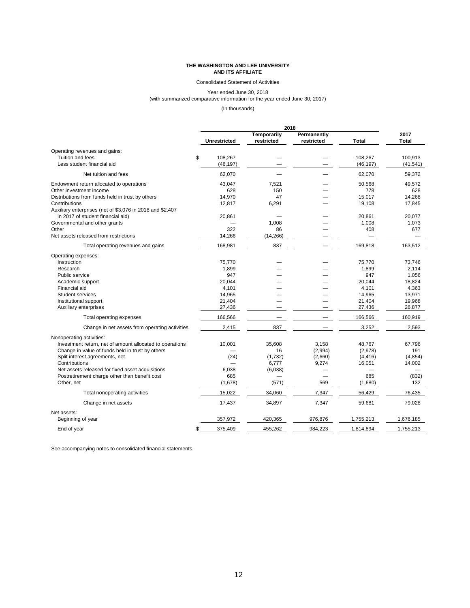Consolidated Statement of Activities

#### Year ended June 30, 2018 (with summarized comparative information for the year ended June 30, 2017)

(In thousands)

|                                                           |                     | 2018                      |                           |           |               |
|-----------------------------------------------------------|---------------------|---------------------------|---------------------------|-----------|---------------|
|                                                           | <b>Unrestricted</b> | Temporarily<br>restricted | Permanently<br>restricted | Total     | 2017<br>Total |
| Operating revenues and gains:                             |                     |                           |                           |           |               |
| Tuition and fees                                          | \$<br>108,267       |                           |                           | 108,267   | 100,913       |
| Less student financial aid                                | (46, 197)           |                           |                           | (46, 197) | (41, 541)     |
|                                                           |                     |                           |                           |           |               |
| Net tuition and fees                                      | 62,070              |                           |                           | 62,070    | 59,372        |
| Endowment return allocated to operations                  | 43,047              | 7,521                     |                           | 50,568    | 49,572        |
| Other investment income                                   | 628                 | 150                       |                           | 778       | 628           |
| Distributions from funds held in trust by others          | 14,970              | 47                        |                           | 15,017    | 14,268        |
| Contributions                                             | 12,817              | 6,291                     |                           | 19,108    | 17,845        |
| Auxiliary enterprises (net of \$3,076 in 2018 and \$2,407 |                     |                           |                           |           |               |
| in 2017 of student financial aid)                         | 20,861              |                           |                           | 20,861    | 20,077        |
| Governmental and other grants                             |                     | 1,008                     |                           | 1,008     | 1,073         |
| Other                                                     | 322                 | 86                        |                           | 408       | 677           |
| Net assets released from restrictions                     | 14,266              | (14, 266)                 |                           |           |               |
| Total operating revenues and gains                        | 168,981             | 837                       |                           | 169,818   | 163,512       |
|                                                           |                     |                           |                           |           |               |
| Operating expenses:                                       |                     |                           |                           |           |               |
| Instruction                                               | 75,770              |                           |                           | 75,770    | 73,746        |
| Research                                                  | 1,899               |                           |                           | 1,899     | 2,114         |
| Public service                                            | 947                 |                           |                           | 947       | 1,056         |
| Academic support                                          | 20,044              |                           |                           | 20,044    | 18,824        |
| Financial aid                                             | 4,101               |                           |                           | 4,101     | 4,363         |
| Student services                                          | 14,965              |                           |                           | 14,965    | 13,971        |
| Institutional support                                     | 21,404              |                           |                           | 21,404    | 19,968        |
| Auxiliary enterprises                                     | 27,436              |                           |                           | 27,436    | 26,877        |
| Total operating expenses                                  | 166,566             |                           |                           | 166,566   | 160,919       |
| Change in net assets from operating activities            | 2,415               | 837                       |                           | 3,252     | 2,593         |
| Nonoperating activities:                                  |                     |                           |                           |           |               |
| Investment return, net of amount allocated to operations  | 10,001              | 35,608                    | 3,158                     | 48,767    | 67,796        |
| Change in value of funds held in trust by others          |                     | 16                        | (2,994)                   | (2,978)   | 191           |
| Split interest agreements, net                            | (24)                | (1,732)                   | (2,660)                   | (4, 416)  | (4, 854)      |
| Contributions                                             |                     | 6,777                     | 9,274                     | 16,051    | 14,002        |
| Net assets released for fixed asset acquisitions          | 6,038               | (6,038)                   |                           |           |               |
|                                                           |                     |                           |                           | 685       |               |
| Postretirement charge other than benefit cost             | 685                 |                           |                           |           | (832)         |
| Other, net                                                | (1,678)             | (571)                     | 569                       | (1,680)   | 132           |
| Total nonoperating activities                             | 15,022              | 34,060                    | 7,347                     | 56,429    | 76,435        |
| Change in net assets                                      | 17,437              | 34,897                    | 7,347                     | 59,681    | 79,028        |
| Net assets:                                               |                     |                           |                           |           |               |
| Beginning of year                                         | 357.972             | 420.365                   | 976.876                   | 1,755,213 | 1.676.185     |
| End of year                                               | \$<br>375,409       | 455,262                   | 984,223                   | 1,814,894 | 1,755,213     |

See accompanying notes to consolidated financial statements.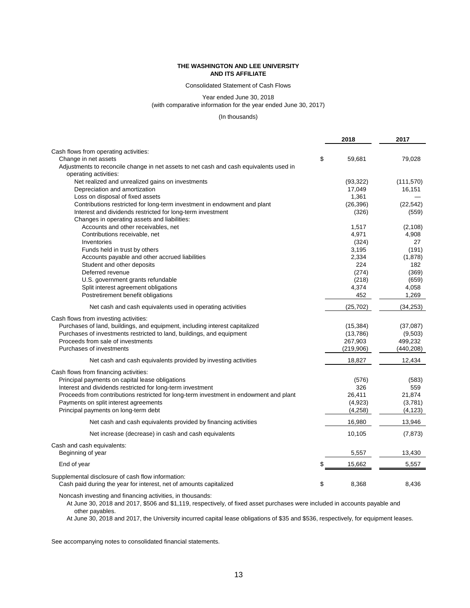#### Consolidated Statement of Cash Flows

Year ended June 30, 2018

(with comparative information for the year ended June 30, 2017)

#### (In thousands)

|                                                                                                                         | 2018           | 2017           |
|-------------------------------------------------------------------------------------------------------------------------|----------------|----------------|
| Cash flows from operating activities:                                                                                   |                |                |
| Change in net assets                                                                                                    | \$<br>59,681   | 79,028         |
| Adjustments to reconcile change in net assets to net cash and cash equivalents used in                                  |                |                |
| operating activities:                                                                                                   |                |                |
| Net realized and unrealized gains on investments                                                                        | (93, 322)      | (111, 570)     |
| Depreciation and amortization                                                                                           | 17,049         | 16,151         |
| Loss on disposal of fixed assets                                                                                        | 1,361          |                |
| Contributions restricted for long-term investment in endowment and plant                                                | (26, 396)      | (22, 542)      |
| Interest and dividends restricted for long-term investment                                                              | (326)          | (559)          |
| Changes in operating assets and liabilities:                                                                            |                |                |
| Accounts and other receivables, net                                                                                     | 1,517          | (2,108)        |
| Contributions receivable, net                                                                                           | 4,971          | 4,908          |
| Inventories                                                                                                             | (324)          | 27             |
| Funds held in trust by others                                                                                           | 3,195          | (191)          |
| Accounts payable and other accrued liabilities                                                                          | 2,334          | (1,878)        |
| Student and other deposits                                                                                              | 224            | 182            |
| Deferred revenue                                                                                                        | (274)          | (369)          |
| U.S. government grants refundable                                                                                       | (218)<br>4,374 | (659)<br>4,058 |
| Split interest agreement obligations<br>Postretirement benefit obligations                                              | 452            | 1,269          |
|                                                                                                                         |                |                |
| Net cash and cash equivalents used in operating activities                                                              | (25, 702)      | (34, 253)      |
| Cash flows from investing activities:                                                                                   |                |                |
| Purchases of land, buildings, and equipment, including interest capitalized                                             | (15, 384)      | (37,087)       |
| Purchases of investments restricted to land, buildings, and equipment                                                   | (13,786)       | (9,503)        |
| Proceeds from sale of investments                                                                                       | 267,903        | 499,232        |
| Purchases of investments                                                                                                | (219, 906)     | (440, 208)     |
| Net cash and cash equivalents provided by investing activities                                                          | 18,827         | 12,434         |
| Cash flows from financing activities:                                                                                   |                |                |
| Principal payments on capital lease obligations                                                                         | (576)          | (583)          |
| Interest and dividends restricted for long-term investment                                                              | 326            | 559            |
| Proceeds from contributions restricted for long-term investment in endowment and plant                                  | 26,411         | 21,874         |
| Payments on split interest agreements                                                                                   | (4,923)        | (3,781)        |
| Principal payments on long-term debt                                                                                    | (4,258)        | (4, 123)       |
| Net cash and cash equivalents provided by financing activities                                                          | 16,980         | 13,946         |
| Net increase (decrease) in cash and cash equivalents                                                                    | 10,105         | (7, 873)       |
| Cash and cash equivalents:                                                                                              |                |                |
| Beginning of year                                                                                                       | 5,557          | 13,430         |
| End of year                                                                                                             | \$<br>15,662   | 5,557          |
| Supplemental disclosure of cash flow information:<br>Cash paid during the year for interest, net of amounts capitalized | \$<br>8,368    | 8,436          |
|                                                                                                                         |                |                |

Noncash investing and financing activities, in thousands:

At June 30, 2018 and 2017, \$506 and \$1,119, respectively, of fixed asset purchases were included in accounts payable and other payables.

At June 30, 2018 and 2017, the University incurred capital lease obligations of \$35 and \$536, respectively, for equipment leases.

See accompanying notes to consolidated financial statements.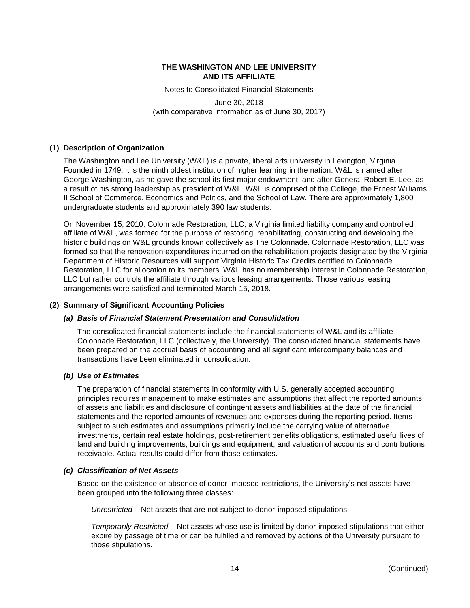Notes to Consolidated Financial Statements

June 30, 2018 (with comparative information as of June 30, 2017)

# **(1) Description of Organization**

The Washington and Lee University (W&L) is a private, liberal arts university in Lexington, Virginia. Founded in 1749; it is the ninth oldest institution of higher learning in the nation. W&L is named after George Washington, as he gave the school its first major endowment, and after General Robert E. Lee, as a result of his strong leadership as president of W&L. W&L is comprised of the College, the Ernest Williams II School of Commerce, Economics and Politics, and the School of Law. There are approximately 1,800 undergraduate students and approximately 390 law students.

On November 15, 2010, Colonnade Restoration, LLC, a Virginia limited liability company and controlled affiliate of W&L, was formed for the purpose of restoring, rehabilitating, constructing and developing the historic buildings on W&L grounds known collectively as The Colonnade. Colonnade Restoration, LLC was formed so that the renovation expenditures incurred on the rehabilitation projects designated by the Virginia Department of Historic Resources will support Virginia Historic Tax Credits certified to Colonnade Restoration, LLC for allocation to its members. W&L has no membership interest in Colonnade Restoration, LLC but rather controls the affiliate through various leasing arrangements. Those various leasing arrangements were satisfied and terminated March 15, 2018.

# **(2) Summary of Significant Accounting Policies**

# *(a) Basis of Financial Statement Presentation and Consolidation*

The consolidated financial statements include the financial statements of W&L and its affiliate Colonnade Restoration, LLC (collectively, the University). The consolidated financial statements have been prepared on the accrual basis of accounting and all significant intercompany balances and transactions have been eliminated in consolidation.

# *(b) Use of Estimates*

The preparation of financial statements in conformity with U.S. generally accepted accounting principles requires management to make estimates and assumptions that affect the reported amounts of assets and liabilities and disclosure of contingent assets and liabilities at the date of the financial statements and the reported amounts of revenues and expenses during the reporting period. Items subject to such estimates and assumptions primarily include the carrying value of alternative investments, certain real estate holdings, post-retirement benefits obligations, estimated useful lives of land and building improvements, buildings and equipment, and valuation of accounts and contributions receivable. Actual results could differ from those estimates.

# *(c) Classification of Net Assets*

Based on the existence or absence of donor-imposed restrictions, the University's net assets have been grouped into the following three classes:

*Unrestricted* – Net assets that are not subject to donor-imposed stipulations.

*Temporarily Restricted* – Net assets whose use is limited by donor-imposed stipulations that either expire by passage of time or can be fulfilled and removed by actions of the University pursuant to those stipulations.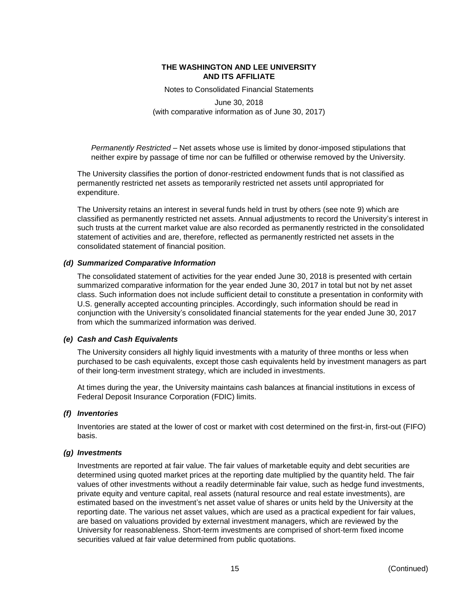Notes to Consolidated Financial Statements

June 30, 2018 (with comparative information as of June 30, 2017)

*Permanently Restricted* – Net assets whose use is limited by donor-imposed stipulations that neither expire by passage of time nor can be fulfilled or otherwise removed by the University.

The University classifies the portion of donor-restricted endowment funds that is not classified as permanently restricted net assets as temporarily restricted net assets until appropriated for expenditure.

The University retains an interest in several funds held in trust by others (see note 9) which are classified as permanently restricted net assets. Annual adjustments to record the University's interest in such trusts at the current market value are also recorded as permanently restricted in the consolidated statement of activities and are, therefore, reflected as permanently restricted net assets in the consolidated statement of financial position.

# *(d) Summarized Comparative Information*

The consolidated statement of activities for the year ended June 30, 2018 is presented with certain summarized comparative information for the year ended June 30, 2017 in total but not by net asset class. Such information does not include sufficient detail to constitute a presentation in conformity with U.S. generally accepted accounting principles. Accordingly, such information should be read in conjunction with the University's consolidated financial statements for the year ended June 30, 2017 from which the summarized information was derived.

# *(e) Cash and Cash Equivalents*

The University considers all highly liquid investments with a maturity of three months or less when purchased to be cash equivalents, except those cash equivalents held by investment managers as part of their long-term investment strategy, which are included in investments.

At times during the year, the University maintains cash balances at financial institutions in excess of Federal Deposit Insurance Corporation (FDIC) limits.

# *(f) Inventories*

Inventories are stated at the lower of cost or market with cost determined on the first-in, first-out (FIFO) basis.

# *(g) Investments*

Investments are reported at fair value. The fair values of marketable equity and debt securities are determined using quoted market prices at the reporting date multiplied by the quantity held. The fair values of other investments without a readily determinable fair value, such as hedge fund investments, private equity and venture capital, real assets (natural resource and real estate investments), are estimated based on the investment's net asset value of shares or units held by the University at the reporting date. The various net asset values, which are used as a practical expedient for fair values, are based on valuations provided by external investment managers, which are reviewed by the University for reasonableness. Short-term investments are comprised of short-term fixed income securities valued at fair value determined from public quotations.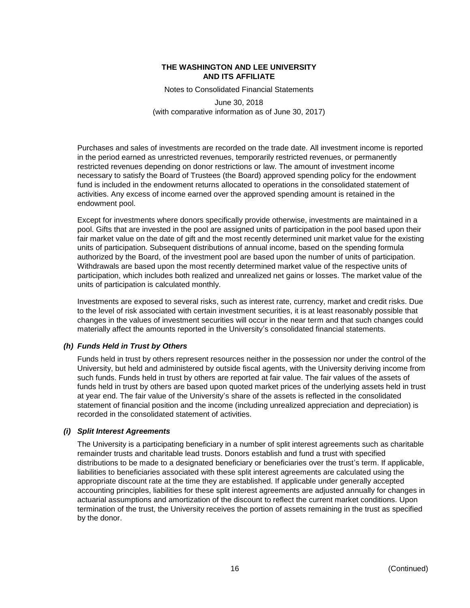Notes to Consolidated Financial Statements

June 30, 2018 (with comparative information as of June 30, 2017)

Purchases and sales of investments are recorded on the trade date. All investment income is reported in the period earned as unrestricted revenues, temporarily restricted revenues, or permanently restricted revenues depending on donor restrictions or law. The amount of investment income necessary to satisfy the Board of Trustees (the Board) approved spending policy for the endowment fund is included in the endowment returns allocated to operations in the consolidated statement of activities. Any excess of income earned over the approved spending amount is retained in the endowment pool.

Except for investments where donors specifically provide otherwise, investments are maintained in a pool. Gifts that are invested in the pool are assigned units of participation in the pool based upon their fair market value on the date of gift and the most recently determined unit market value for the existing units of participation. Subsequent distributions of annual income, based on the spending formula authorized by the Board, of the investment pool are based upon the number of units of participation. Withdrawals are based upon the most recently determined market value of the respective units of participation, which includes both realized and unrealized net gains or losses. The market value of the units of participation is calculated monthly.

Investments are exposed to several risks, such as interest rate, currency, market and credit risks. Due to the level of risk associated with certain investment securities, it is at least reasonably possible that changes in the values of investment securities will occur in the near term and that such changes could materially affect the amounts reported in the University's consolidated financial statements.

# *(h) Funds Held in Trust by Others*

Funds held in trust by others represent resources neither in the possession nor under the control of the University, but held and administered by outside fiscal agents, with the University deriving income from such funds. Funds held in trust by others are reported at fair value. The fair values of the assets of funds held in trust by others are based upon quoted market prices of the underlying assets held in trust at year end. The fair value of the University's share of the assets is reflected in the consolidated statement of financial position and the income (including unrealized appreciation and depreciation) is recorded in the consolidated statement of activities.

# *(i) Split Interest Agreements*

The University is a participating beneficiary in a number of split interest agreements such as charitable remainder trusts and charitable lead trusts. Donors establish and fund a trust with specified distributions to be made to a designated beneficiary or beneficiaries over the trust's term. If applicable, liabilities to beneficiaries associated with these split interest agreements are calculated using the appropriate discount rate at the time they are established. If applicable under generally accepted accounting principles, liabilities for these split interest agreements are adjusted annually for changes in actuarial assumptions and amortization of the discount to reflect the current market conditions. Upon termination of the trust, the University receives the portion of assets remaining in the trust as specified by the donor.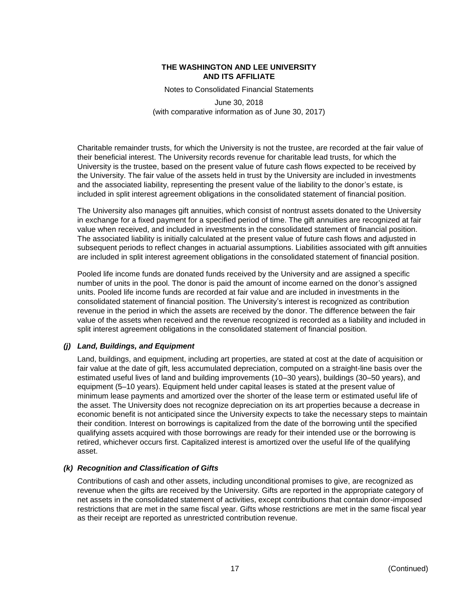Notes to Consolidated Financial Statements

June 30, 2018 (with comparative information as of June 30, 2017)

Charitable remainder trusts, for which the University is not the trustee, are recorded at the fair value of their beneficial interest. The University records revenue for charitable lead trusts, for which the University is the trustee, based on the present value of future cash flows expected to be received by the University. The fair value of the assets held in trust by the University are included in investments and the associated liability, representing the present value of the liability to the donor's estate, is included in split interest agreement obligations in the consolidated statement of financial position.

The University also manages gift annuities, which consist of nontrust assets donated to the University in exchange for a fixed payment for a specified period of time. The gift annuities are recognized at fair value when received, and included in investments in the consolidated statement of financial position. The associated liability is initially calculated at the present value of future cash flows and adjusted in subsequent periods to reflect changes in actuarial assumptions. Liabilities associated with gift annuities are included in split interest agreement obligations in the consolidated statement of financial position.

Pooled life income funds are donated funds received by the University and are assigned a specific number of units in the pool. The donor is paid the amount of income earned on the donor's assigned units. Pooled life income funds are recorded at fair value and are included in investments in the consolidated statement of financial position. The University's interest is recognized as contribution revenue in the period in which the assets are received by the donor. The difference between the fair value of the assets when received and the revenue recognized is recorded as a liability and included in split interest agreement obligations in the consolidated statement of financial position.

# *(j) Land, Buildings, and Equipment*

Land, buildings, and equipment, including art properties, are stated at cost at the date of acquisition or fair value at the date of gift, less accumulated depreciation, computed on a straight-line basis over the estimated useful lives of land and building improvements (10–30 years), buildings (30–50 years), and equipment (5–10 years). Equipment held under capital leases is stated at the present value of minimum lease payments and amortized over the shorter of the lease term or estimated useful life of the asset. The University does not recognize depreciation on its art properties because a decrease in economic benefit is not anticipated since the University expects to take the necessary steps to maintain their condition. Interest on borrowings is capitalized from the date of the borrowing until the specified qualifying assets acquired with those borrowings are ready for their intended use or the borrowing is retired, whichever occurs first. Capitalized interest is amortized over the useful life of the qualifying asset.

# *(k) Recognition and Classification of Gifts*

Contributions of cash and other assets, including unconditional promises to give, are recognized as revenue when the gifts are received by the University. Gifts are reported in the appropriate category of net assets in the consolidated statement of activities, except contributions that contain donor-imposed restrictions that are met in the same fiscal year. Gifts whose restrictions are met in the same fiscal year as their receipt are reported as unrestricted contribution revenue.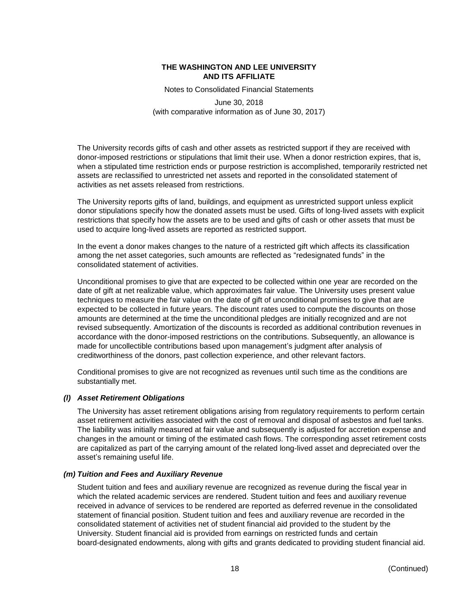Notes to Consolidated Financial Statements

June 30, 2018 (with comparative information as of June 30, 2017)

The University records gifts of cash and other assets as restricted support if they are received with donor-imposed restrictions or stipulations that limit their use. When a donor restriction expires, that is, when a stipulated time restriction ends or purpose restriction is accomplished, temporarily restricted net assets are reclassified to unrestricted net assets and reported in the consolidated statement of activities as net assets released from restrictions.

The University reports gifts of land, buildings, and equipment as unrestricted support unless explicit donor stipulations specify how the donated assets must be used. Gifts of long-lived assets with explicit restrictions that specify how the assets are to be used and gifts of cash or other assets that must be used to acquire long-lived assets are reported as restricted support.

In the event a donor makes changes to the nature of a restricted gift which affects its classification among the net asset categories, such amounts are reflected as "redesignated funds" in the consolidated statement of activities.

Unconditional promises to give that are expected to be collected within one year are recorded on the date of gift at net realizable value, which approximates fair value. The University uses present value techniques to measure the fair value on the date of gift of unconditional promises to give that are expected to be collected in future years. The discount rates used to compute the discounts on those amounts are determined at the time the unconditional pledges are initially recognized and are not revised subsequently. Amortization of the discounts is recorded as additional contribution revenues in accordance with the donor-imposed restrictions on the contributions. Subsequently, an allowance is made for uncollectible contributions based upon management's judgment after analysis of creditworthiness of the donors, past collection experience, and other relevant factors.

Conditional promises to give are not recognized as revenues until such time as the conditions are substantially met.

# *(l) Asset Retirement Obligations*

The University has asset retirement obligations arising from regulatory requirements to perform certain asset retirement activities associated with the cost of removal and disposal of asbestos and fuel tanks. The liability was initially measured at fair value and subsequently is adjusted for accretion expense and changes in the amount or timing of the estimated cash flows. The corresponding asset retirement costs are capitalized as part of the carrying amount of the related long-lived asset and depreciated over the asset's remaining useful life.

# *(m) Tuition and Fees and Auxiliary Revenue*

Student tuition and fees and auxiliary revenue are recognized as revenue during the fiscal year in which the related academic services are rendered. Student tuition and fees and auxiliary revenue received in advance of services to be rendered are reported as deferred revenue in the consolidated statement of financial position. Student tuition and fees and auxiliary revenue are recorded in the consolidated statement of activities net of student financial aid provided to the student by the University. Student financial aid is provided from earnings on restricted funds and certain board-designated endowments, along with gifts and grants dedicated to providing student financial aid.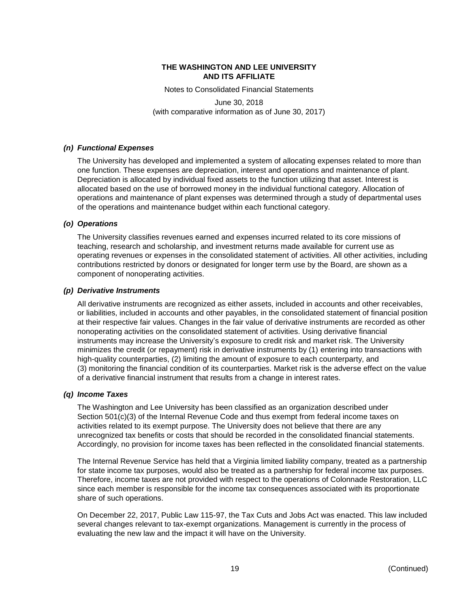Notes to Consolidated Financial Statements

June 30, 2018 (with comparative information as of June 30, 2017)

# *(n) Functional Expenses*

The University has developed and implemented a system of allocating expenses related to more than one function. These expenses are depreciation, interest and operations and maintenance of plant. Depreciation is allocated by individual fixed assets to the function utilizing that asset. Interest is allocated based on the use of borrowed money in the individual functional category. Allocation of operations and maintenance of plant expenses was determined through a study of departmental uses of the operations and maintenance budget within each functional category.

# *(o) Operations*

The University classifies revenues earned and expenses incurred related to its core missions of teaching, research and scholarship, and investment returns made available for current use as operating revenues or expenses in the consolidated statement of activities. All other activities, including contributions restricted by donors or designated for longer term use by the Board, are shown as a component of nonoperating activities.

# *(p) Derivative Instruments*

All derivative instruments are recognized as either assets, included in accounts and other receivables, or liabilities, included in accounts and other payables, in the consolidated statement of financial position at their respective fair values. Changes in the fair value of derivative instruments are recorded as other nonoperating activities on the consolidated statement of activities. Using derivative financial instruments may increase the University's exposure to credit risk and market risk. The University minimizes the credit (or repayment) risk in derivative instruments by (1) entering into transactions with high-quality counterparties, (2) limiting the amount of exposure to each counterparty, and (3) monitoring the financial condition of its counterparties. Market risk is the adverse effect on the value of a derivative financial instrument that results from a change in interest rates.

# *(q) Income Taxes*

The Washington and Lee University has been classified as an organization described under Section 501(c)(3) of the Internal Revenue Code and thus exempt from federal income taxes on activities related to its exempt purpose. The University does not believe that there are any unrecognized tax benefits or costs that should be recorded in the consolidated financial statements. Accordingly, no provision for income taxes has been reflected in the consolidated financial statements.

The Internal Revenue Service has held that a Virginia limited liability company, treated as a partnership for state income tax purposes, would also be treated as a partnership for federal income tax purposes. Therefore, income taxes are not provided with respect to the operations of Colonnade Restoration, LLC since each member is responsible for the income tax consequences associated with its proportionate share of such operations.

On December 22, 2017, Public Law 115-97, the Tax Cuts and Jobs Act was enacted. This law included several changes relevant to tax-exempt organizations. Management is currently in the process of evaluating the new law and the impact it will have on the University.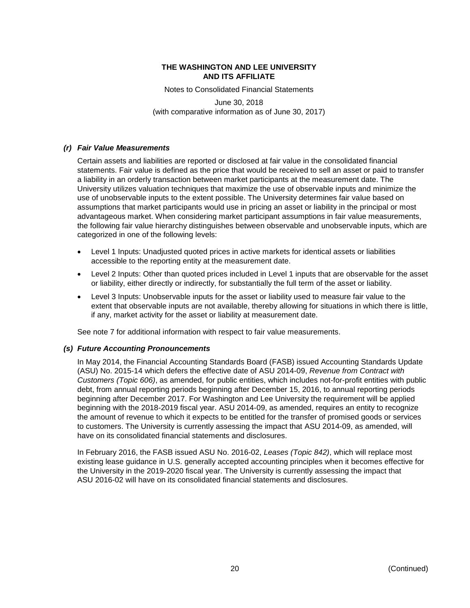Notes to Consolidated Financial Statements

June 30, 2018 (with comparative information as of June 30, 2017)

# *(r) Fair Value Measurements*

Certain assets and liabilities are reported or disclosed at fair value in the consolidated financial statements. Fair value is defined as the price that would be received to sell an asset or paid to transfer a liability in an orderly transaction between market participants at the measurement date. The University utilizes valuation techniques that maximize the use of observable inputs and minimize the use of unobservable inputs to the extent possible. The University determines fair value based on assumptions that market participants would use in pricing an asset or liability in the principal or most advantageous market. When considering market participant assumptions in fair value measurements, the following fair value hierarchy distinguishes between observable and unobservable inputs, which are categorized in one of the following levels:

- Level 1 Inputs: Unadjusted quoted prices in active markets for identical assets or liabilities accessible to the reporting entity at the measurement date.
- Level 2 Inputs: Other than quoted prices included in Level 1 inputs that are observable for the asset or liability, either directly or indirectly, for substantially the full term of the asset or liability.
- Level 3 Inputs: Unobservable inputs for the asset or liability used to measure fair value to the extent that observable inputs are not available, thereby allowing for situations in which there is little, if any, market activity for the asset or liability at measurement date.

See note 7 for additional information with respect to fair value measurements.

# *(s) Future Accounting Pronouncements*

In May 2014, the Financial Accounting Standards Board (FASB) issued Accounting Standards Update (ASU) No. 2015-14 which defers the effective date of ASU 2014-09, *Revenue from Contract with Customers (Topic 606)*, as amended, for public entities, which includes not-for-profit entities with public debt, from annual reporting periods beginning after December 15, 2016, to annual reporting periods beginning after December 2017. For Washington and Lee University the requirement will be applied beginning with the 2018-2019 fiscal year. ASU 2014-09, as amended, requires an entity to recognize the amount of revenue to which it expects to be entitled for the transfer of promised goods or services to customers. The University is currently assessing the impact that ASU 2014-09, as amended, will have on its consolidated financial statements and disclosures.

In February 2016, the FASB issued ASU No. 2016-02, *Leases (Topic 842)*, which will replace most existing lease guidance in U.S. generally accepted accounting principles when it becomes effective for the University in the 2019-2020 fiscal year. The University is currently assessing the impact that ASU 2016-02 will have on its consolidated financial statements and disclosures.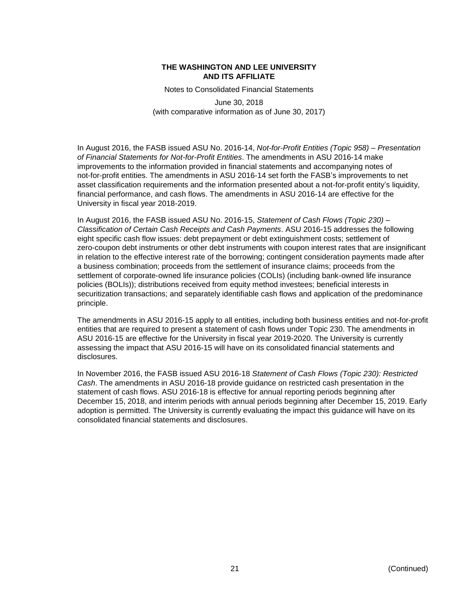Notes to Consolidated Financial Statements

June 30, 2018 (with comparative information as of June 30, 2017)

In August 2016, the FASB issued ASU No. 2016-14, *Not-for-Profit Entities (Topic 958) – Presentation of Financial Statements for Not-for-Profit Entities*. The amendments in ASU 2016-14 make improvements to the information provided in financial statements and accompanying notes of not-for-profit entities. The amendments in ASU 2016-14 set forth the FASB's improvements to net asset classification requirements and the information presented about a not-for-profit entity's liquidity, financial performance, and cash flows. The amendments in ASU 2016-14 are effective for the University in fiscal year 2018-2019.

In August 2016, the FASB issued ASU No. 2016-15, *Statement of Cash Flows (Topic 230) – Classification of Certain Cash Receipts and Cash Payments*. ASU 2016-15 addresses the following eight specific cash flow issues: debt prepayment or debt extinguishment costs; settlement of zero-coupon debt instruments or other debt instruments with coupon interest rates that are insignificant in relation to the effective interest rate of the borrowing; contingent consideration payments made after a business combination; proceeds from the settlement of insurance claims; proceeds from the settlement of corporate-owned life insurance policies (COLIs) (including bank-owned life insurance policies (BOLIs)); distributions received from equity method investees; beneficial interests in securitization transactions; and separately identifiable cash flows and application of the predominance principle.

The amendments in ASU 2016-15 apply to all entities, including both business entities and not-for-profit entities that are required to present a statement of cash flows under Topic 230. The amendments in ASU 2016-15 are effective for the University in fiscal year 2019-2020. The University is currently assessing the impact that ASU 2016-15 will have on its consolidated financial statements and disclosures.

In November 2016, the FASB issued ASU 2016-18 *Statement of Cash Flows (Topic 230): Restricted Cash*. The amendments in ASU 2016-18 provide guidance on restricted cash presentation in the statement of cash flows. ASU 2016-18 is effective for annual reporting periods beginning after December 15, 2018, and interim periods with annual periods beginning after December 15, 2019. Early adoption is permitted. The University is currently evaluating the impact this guidance will have on its consolidated financial statements and disclosures.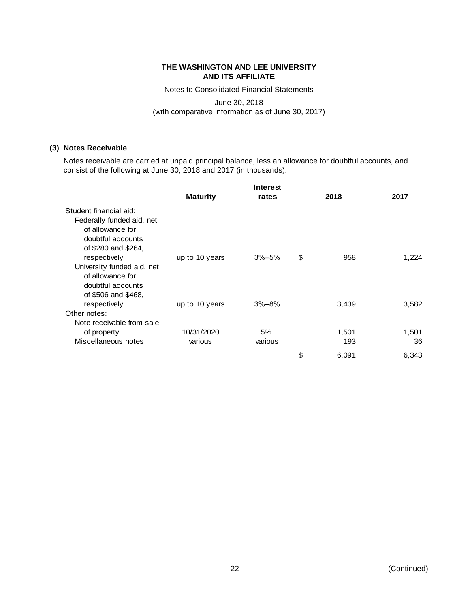Notes to Consolidated Financial Statements

June 30, 2018 (with comparative information as of June 30, 2017)

# **(3) Notes Receivable**

Notes receivable are carried at unpaid principal balance, less an allowance for doubtful accounts, and consist of the following at June 30, 2018 and 2017 (in thousands):

|                            |                 | Interest    |             |       |
|----------------------------|-----------------|-------------|-------------|-------|
|                            | <b>Maturity</b> | rates       | 2018        | 2017  |
| Student financial aid:     |                 |             |             |       |
| Federally funded aid, net  |                 |             |             |       |
| of allowance for           |                 |             |             |       |
| doubtful accounts          |                 |             |             |       |
| of \$280 and \$264,        |                 |             |             |       |
| respectively               | up to 10 years  | $3\% - 5\%$ | \$<br>958   | 1,224 |
| University funded aid, net |                 |             |             |       |
| of allowance for           |                 |             |             |       |
| doubtful accounts          |                 |             |             |       |
| of \$506 and \$468,        |                 |             |             |       |
| respectively               | up to 10 years  | $3% - 8%$   | 3,439       | 3,582 |
| Other notes:               |                 |             |             |       |
| Note receivable from sale  |                 |             |             |       |
| of property                | 10/31/2020      | 5%          | 1,501       | 1,501 |
| Miscellaneous notes        | various         | various     | 193         | 36    |
|                            |                 |             | \$<br>6,091 | 6,343 |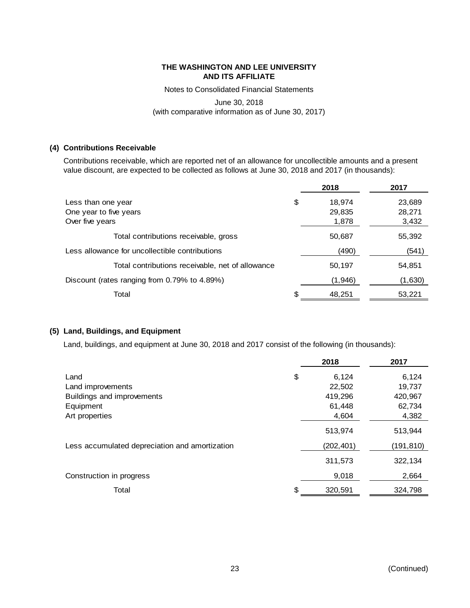Notes to Consolidated Financial Statements

# June 30, 2018 (with comparative information as of June 30, 2017)

# **(4) Contributions Receivable**

Contributions receivable, which are reported net of an allowance for uncollectible amounts and a present value discount, are expected to be collected as follows at June 30, 2018 and 2017 (in thousands):

| 2018         | 2017    |
|--------------|---------|
| \$<br>18,974 | 23,689  |
| 29,835       | 28,271  |
| 1,878        | 3,432   |
| 50,687       | 55,392  |
| (490)        | (541)   |
| 50.197       | 54,851  |
| (1,946)      | (1,630) |
| 48,251       | 53,221  |
|              |         |

# **(5) Land, Buildings, and Equipment**

Land, buildings, and equipment at June 30, 2018 and 2017 consist of the following (in thousands):

|                                                | 2018          | 2017       |
|------------------------------------------------|---------------|------------|
| Land                                           | \$<br>6,124   | 6,124      |
| Land improvements                              | 22,502        | 19,737     |
| Buildings and improvements                     | 419,296       | 420,967    |
| Equipment                                      | 61,448        | 62,734     |
| Art properties                                 | 4,604         | 4,382      |
|                                                | 513,974       | 513,944    |
| Less accumulated depreciation and amortization | (202, 401)    | (191, 810) |
|                                                | 311,573       | 322,134    |
| Construction in progress                       | 9,018         | 2,664      |
| Total                                          | \$<br>320.591 | 324,798    |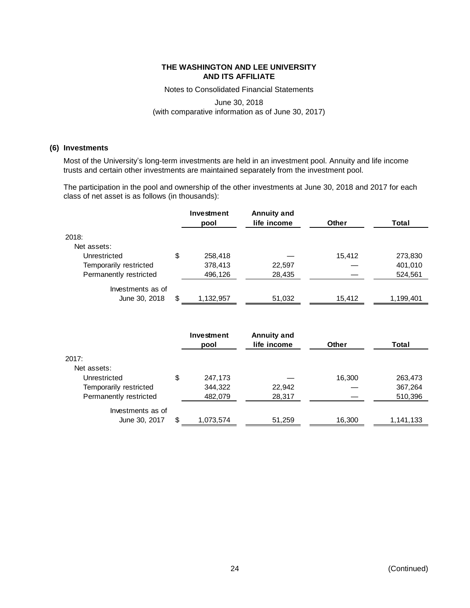Notes to Consolidated Financial Statements

June 30, 2018 (with comparative information as of June 30, 2017)

# **(6) Investments**

Most of the University's long-term investments are held in an investment pool. Annuity and life income trusts and certain other investments are maintained separately from the investment pool.

The participation in the pool and ownership of the other investments at June 30, 2018 and 2017 for each class of net asset is as follows (in thousands):

|                        | <b>Investment</b><br>pool | <b>Annuity and</b><br>life income | <b>Other</b> | Total     |
|------------------------|---------------------------|-----------------------------------|--------------|-----------|
| 2018:                  |                           |                                   |              |           |
| Net assets:            |                           |                                   |              |           |
| Unrestricted           | \$<br>258,418             |                                   | 15,412       | 273,830   |
| Temporarily restricted | 378,413                   | 22,597                            |              | 401,010   |
| Permanently restricted | 496,126                   | 28,435                            |              | 524,561   |
| Investments as of      |                           |                                   |              |           |
| June 30, 2018          | 1,132,957                 | 51,032                            | 15,412       | 1,199,401 |

|                        | Investment<br>pool | <b>Annuity and</b><br>life income | <b>Other</b> | Total     |
|------------------------|--------------------|-----------------------------------|--------------|-----------|
| 2017:                  |                    |                                   |              |           |
| Net assets:            |                    |                                   |              |           |
| Unrestricted           | \$<br>247,173      |                                   | 16,300       | 263,473   |
| Temporarily restricted | 344,322            | 22,942                            |              | 367,264   |
| Permanently restricted | 482,079            | 28,317                            |              | 510,396   |
| Investments as of      |                    |                                   |              |           |
| June 30, 2017          | 1,073,574          | 51,259                            | 16,300       | 1,141,133 |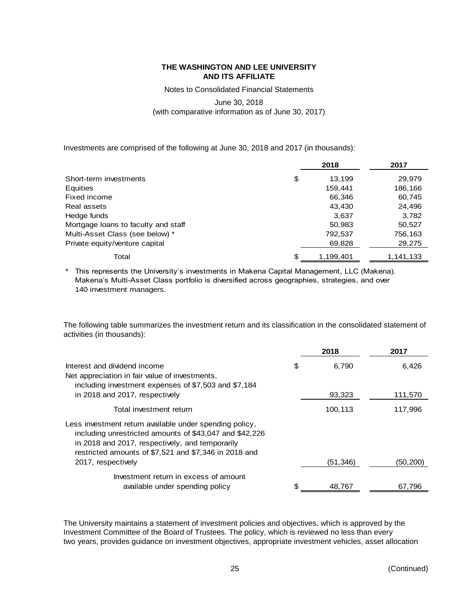Notes to Consolidated Financial Statements

#### June 30, 2018

# (with comparative information as of June 30, 2017)

Investments are comprised of the following at June 30, 2018 and 2017 (in thousands):

|                                     | 2018            | 2017      |
|-------------------------------------|-----------------|-----------|
| Short-term investments              | \$<br>13,199    | 29,979    |
| Equities                            | 159,441         | 186,166   |
| Fixed income                        | 66,346          | 60,745    |
| Real assets                         | 43,430          | 24,496    |
| Hedge funds                         | 3,637           | 3,782     |
| Mortgage loans to faculty and staff | 50,983          | 50,527    |
| Multi-Asset Class (see below) *     | 792,537         | 756,163   |
| Private equity/venture capital      | 69,828          | 29,275    |
| Total                               | \$<br>1,199,401 | 1,141,133 |

\* This represents the University's investments in Makena Capital Management, LLC (Makena). Makena's Multi-Asset Class portfolio is diversified across geographies, strategies, and over 140 investment managers.

The following table summarizes the investment return and its classification in the consolidated statement of activities (in thousands):

|                                                                                                                                                                                                                                | 2018         | 2017      |
|--------------------------------------------------------------------------------------------------------------------------------------------------------------------------------------------------------------------------------|--------------|-----------|
| Interest and dividend income                                                                                                                                                                                                   | \$<br>6,790  | 6,426     |
| Net appreciation in fair value of investments,<br>including investment expenses of \$7,503 and \$7,184                                                                                                                         |              |           |
| in 2018 and 2017, respectively                                                                                                                                                                                                 | 93,323       | 111,570   |
| Total investment return                                                                                                                                                                                                        | 100,113      | 117,996   |
| Less investment return available under spending policy,<br>including unrestricted amounts of \$43,047 and \$42,226<br>in 2018 and 2017, respectively, and temporarily<br>restricted amounts of \$7,521 and \$7,346 in 2018 and |              |           |
| 2017, respectively                                                                                                                                                                                                             | (51, 346)    | (50, 200) |
| Investment return in excess of amount<br>available under spending policy                                                                                                                                                       | \$<br>48.767 | 67,796    |

The University maintains a statement of investment policies and objectives, which is approved by the Investment Committee of the Board of Trustees. The policy, which is reviewed no less than every two years, provides guidance on investment objectives, appropriate investment vehicles, asset allocation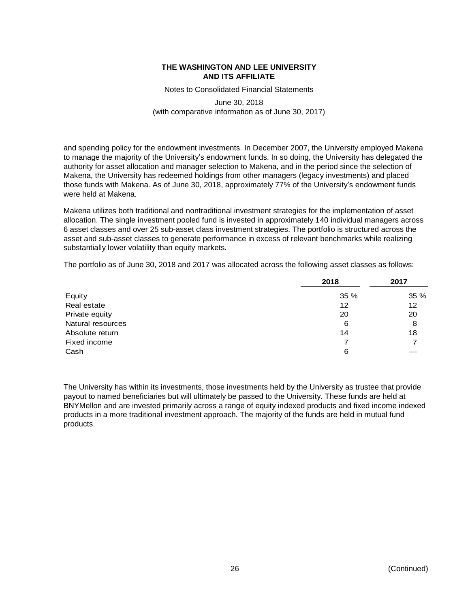Notes to Consolidated Financial Statements

# June 30, 2018 (with comparative information as of June 30, 2017)

and spending policy for the endowment investments. In December 2007, the University employed Makena to manage the majority of the University's endowment funds. In so doing, the University has delegated the authority for asset allocation and manager selection to Makena, and in the period since the selection of Makena, the University has redeemed holdings from other managers (legacy investments) and placed those funds with Makena. As of June 30, 2018, approximately 77% of the University's endowment funds were held at Makena.

Makena utilizes both traditional and nontraditional investment strategies for the implementation of asset allocation. The single investment pooled fund is invested in approximately 140 individual managers across 6 asset classes and over 25 sub-asset class investment strategies. The portfolio is structured across the asset and sub-asset classes to generate performance in excess of relevant benchmarks while realizing substantially lower volatility than equity markets.

The portfolio as of June 30, 2018 and 2017 was allocated across the following asset classes as follows:

|                   | 2018 | 2017 |  |
|-------------------|------|------|--|
| Equity            | 35 % | 35%  |  |
| Real estate       | 12   | 12   |  |
| Private equity    | 20   | 20   |  |
| Natural resources | 6    | 8    |  |
| Absolute return   | 14   | 18   |  |
| Fixed income      | 7    | 7    |  |
| Cash              | 6    |      |  |

The University has within its investments, those investments held by the University as trustee that provide payout to named beneficiaries but will ultimately be passed to the University. These funds are held at BNYMellon and are invested primarily across a range of equity indexed products and fixed income indexed products in a more traditional investment approach. The majority of the funds are held in mutual fund products.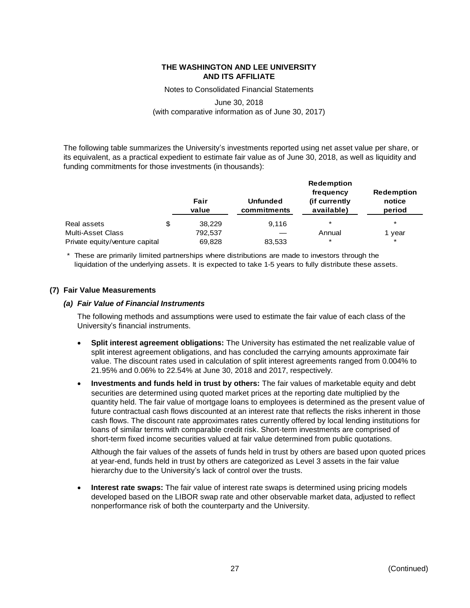Notes to Consolidated Financial Statements

June 30, 2018 (with comparative information as of June 30, 2017)

The following table summarizes the University's investments reported using net asset value per share, or its equivalent, as a practical expedient to estimate fair value as of June 30, 2018, as well as liquidity and funding commitments for those investments (in thousands):

|                                |               |                                | <b>Redemption</b>                         |                                       |
|--------------------------------|---------------|--------------------------------|-------------------------------------------|---------------------------------------|
|                                | Fair<br>value | <b>Unfunded</b><br>commitments | frequency<br>(if currently)<br>available) | <b>Redemption</b><br>notice<br>period |
| Real assets                    | \$<br>38.229  | 9,116                          | $\star$                                   | *                                     |
| <b>Multi-Asset Class</b>       | 792,537       |                                | Annual                                    | 1 year                                |
| Private equity/venture capital | 69,828        | 83,533                         | $\ast$                                    | $\ast$                                |

\* These are primarily limited partnerships where distributions are made to investors through the liquidation of the underlying assets. It is expected to take 1-5 years to fully distribute these assets.

# **(7) Fair Value Measurements**

# *(a) Fair Value of Financial Instruments*

The following methods and assumptions were used to estimate the fair value of each class of the University's financial instruments.

- **Split interest agreement obligations:** The University has estimated the net realizable value of split interest agreement obligations, and has concluded the carrying amounts approximate fair value. The discount rates used in calculation of split interest agreements ranged from 0.004% to 21.95% and 0.06% to 22.54% at June 30, 2018 and 2017, respectively.
- **Investments and funds held in trust by others:** The fair values of marketable equity and debt securities are determined using quoted market prices at the reporting date multiplied by the quantity held. The fair value of mortgage loans to employees is determined as the present value of future contractual cash flows discounted at an interest rate that reflects the risks inherent in those cash flows. The discount rate approximates rates currently offered by local lending institutions for loans of similar terms with comparable credit risk. Short-term investments are comprised of short-term fixed income securities valued at fair value determined from public quotations.

Although the fair values of the assets of funds held in trust by others are based upon quoted prices at year-end, funds held in trust by others are categorized as Level 3 assets in the fair value hierarchy due to the University's lack of control over the trusts.

 **Interest rate swaps:** The fair value of interest rate swaps is determined using pricing models developed based on the LIBOR swap rate and other observable market data, adjusted to reflect nonperformance risk of both the counterparty and the University.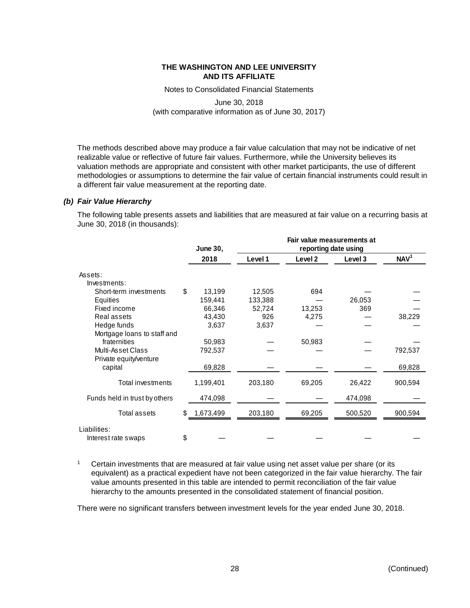Notes to Consolidated Financial Statements

June 30, 2018 (with comparative information as of June 30, 2017)

The methods described above may produce a fair value calculation that may not be indicative of net realizable value or reflective of future fair values. Furthermore, while the University believes its valuation methods are appropriate and consistent with other market participants, the use of different methodologies or assumptions to determine the fair value of certain financial instruments could result in a different fair value measurement at the reporting date.

# *(b) Fair Value Hierarchy*

The following table presents assets and liabilities that are measured at fair value on a recurring basis at June 30, 2018 (in thousands):

|                                     | <b>June 30,</b> | Fair value measurements at<br>reporting date using |                    |         |                  |  |
|-------------------------------------|-----------------|----------------------------------------------------|--------------------|---------|------------------|--|
|                                     | 2018            | Level 1                                            | Level <sub>2</sub> | Level 3 | NAV <sup>1</sup> |  |
| Assets:                             |                 |                                                    |                    |         |                  |  |
| Investments:                        |                 |                                                    |                    |         |                  |  |
| Short-term investments              | \$<br>13,199    | 12,505                                             | 694                |         |                  |  |
| Equities                            | 159,441         | 133,388                                            |                    | 26,053  |                  |  |
| Fixed income                        | 66,346          | 52,724                                             | 13,253             | 369     |                  |  |
| Real assets                         | 43,430          | 926                                                | 4,275              |         | 38,229           |  |
| Hedge funds                         | 3,637           | 3,637                                              |                    |         |                  |  |
| Mortgage loans to staff and         |                 |                                                    |                    |         |                  |  |
| fraternities                        | 50,983          |                                                    | 50,983             |         |                  |  |
| Multi-Asset Class                   | 792,537         |                                                    |                    |         | 792,537          |  |
| Private equity/venture              |                 |                                                    |                    |         |                  |  |
| capital                             | 69,828          |                                                    |                    |         | 69,828           |  |
| Total investments                   | 1,199,401       | 203,180                                            | 69,205             | 26,422  | 900,594          |  |
| Funds held in trust by others       | 474,098         |                                                    |                    | 474,098 |                  |  |
| <b>Total assets</b>                 | \$<br>1,673,499 | 203,180                                            | 69,205             | 500,520 | 900,594          |  |
| Liabilities:<br>Interest rate swaps | \$              |                                                    |                    |         |                  |  |

<sup>1</sup> Certain investments that are measured at fair value using net asset value per share (or its equivalent) as a practical expedient have not been categorized in the fair value hierarchy. The fair value amounts presented in this table are intended to permit reconciliation of the fair value hierarchy to the amounts presented in the consolidated statement of financial position.

There were no significant transfers between investment levels for the year ended June 30, 2018.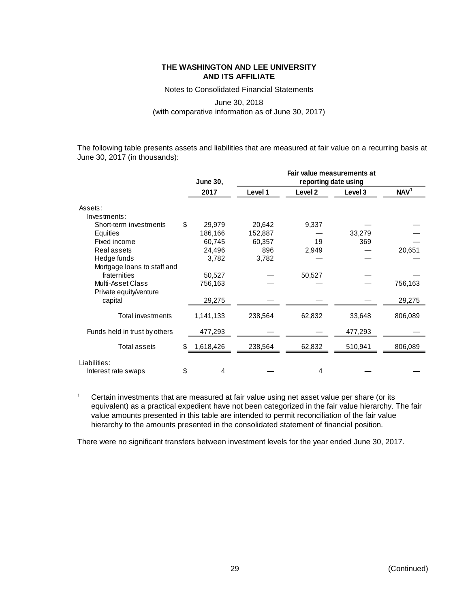Notes to Consolidated Financial Statements

# June 30, 2018 (with comparative information as of June 30, 2017)

The following table presents assets and liabilities that are measured at fair value on a recurring basis at June 30, 2017 (in thousands):

|                               | <b>June 30,</b> | Fair value measurements at<br>reporting date using |                    |         |                  |  |
|-------------------------------|-----------------|----------------------------------------------------|--------------------|---------|------------------|--|
|                               | 2017            | Level 1                                            | Level <sub>2</sub> | Level 3 | NAV <sup>1</sup> |  |
| Assets:                       |                 |                                                    |                    |         |                  |  |
| Investments:                  |                 |                                                    |                    |         |                  |  |
| Short-term investments        | \$<br>29,979    | 20,642                                             | 9,337              |         |                  |  |
| Equities                      | 186,166         | 152,887                                            |                    | 33,279  |                  |  |
| Fixed income                  | 60,745          | 60,357                                             | 19                 | 369     |                  |  |
| Real assets                   | 24,496          | 896                                                | 2,949              |         | 20,651           |  |
| Hedge funds                   | 3,782           | 3,782                                              |                    |         |                  |  |
| Mortgage loans to staff and   |                 |                                                    |                    |         |                  |  |
| fraternities                  | 50,527          |                                                    | 50,527             |         |                  |  |
| Multi-Asset Class             | 756,163         |                                                    |                    |         | 756,163          |  |
| Private equity/venture        |                 |                                                    |                    |         |                  |  |
| capital                       | 29,275          |                                                    |                    |         | 29,275           |  |
| Total investments             | 1,141,133       | 238,564                                            | 62,832             | 33,648  | 806,089          |  |
| Funds held in trust by others | 477,293         |                                                    |                    | 477,293 |                  |  |
| Total assets                  | \$<br>1,618,426 | 238,564                                            | 62,832             | 510,941 | 806,089          |  |
| Liabilities:                  |                 |                                                    |                    |         |                  |  |
| Interest rate swaps           | \$<br>4         |                                                    | 4                  |         |                  |  |

<sup>1</sup> Certain investments that are measured at fair value using net asset value per share (or its equivalent) as a practical expedient have not been categorized in the fair value hierarchy. The fair value amounts presented in this table are intended to permit reconciliation of the fair value hierarchy to the amounts presented in the consolidated statement of financial position.

There were no significant transfers between investment levels for the year ended June 30, 2017.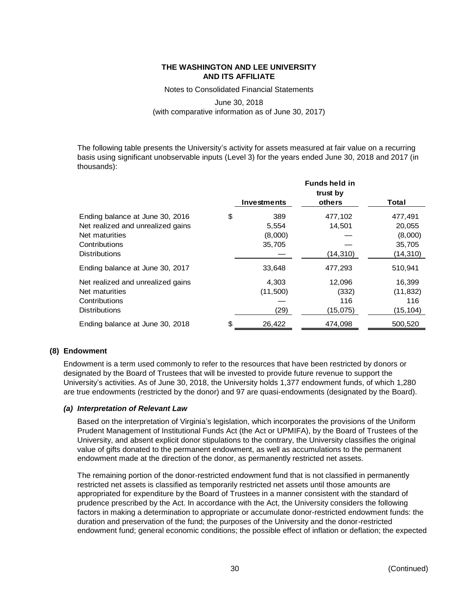Notes to Consolidated Financial Statements

# June 30, 2018 (with comparative information as of June 30, 2017)

The following table presents the University's activity for assets measured at fair value on a recurring basis using significant unobservable inputs (Level 3) for the years ended June 30, 2018 and 2017 (in thousands):

|                                   |              | <b>Funds held in</b><br>trust by |           |
|-----------------------------------|--------------|----------------------------------|-----------|
|                                   | Investments  | others                           | Total     |
| Ending balance at June 30, 2016   | \$<br>389    | 477,102                          | 477,491   |
| Net realized and unrealized gains | 5,554        | 14,501                           | 20,055    |
| Net maturities                    | (8,000)      |                                  | (8,000)   |
| Contributions                     | 35,705       |                                  | 35,705    |
| <b>Distributions</b>              |              | (14, 310)                        | (14, 310) |
| Ending balance at June 30, 2017   | 33,648       | 477,293                          | 510,941   |
| Net realized and unrealized gains | 4,303        | 12,096                           | 16,399    |
| Net maturities                    | (11,500)     | (332)                            | (11, 832) |
| Contributions                     |              | 116                              | 116       |
| <b>Distributions</b>              | (29)         | (15,075)                         | (15, 104) |
| Ending balance at June 30, 2018   | \$<br>26,422 | 474,098                          | 500,520   |

# **(8) Endowment**

Endowment is a term used commonly to refer to the resources that have been restricted by donors or designated by the Board of Trustees that will be invested to provide future revenue to support the University's activities. As of June 30, 2018, the University holds 1,377 endowment funds, of which 1,280 are true endowments (restricted by the donor) and 97 are quasi-endowments (designated by the Board).

# *(a) Interpretation of Relevant Law*

Based on the interpretation of Virginia's legislation, which incorporates the provisions of the Uniform Prudent Management of Institutional Funds Act (the Act or UPMIFA), by the Board of Trustees of the University, and absent explicit donor stipulations to the contrary, the University classifies the original value of gifts donated to the permanent endowment, as well as accumulations to the permanent endowment made at the direction of the donor, as permanently restricted net assets.

The remaining portion of the donor-restricted endowment fund that is not classified in permanently restricted net assets is classified as temporarily restricted net assets until those amounts are appropriated for expenditure by the Board of Trustees in a manner consistent with the standard of prudence prescribed by the Act. In accordance with the Act, the University considers the following factors in making a determination to appropriate or accumulate donor-restricted endowment funds: the duration and preservation of the fund; the purposes of the University and the donor-restricted endowment fund; general economic conditions; the possible effect of inflation or deflation; the expected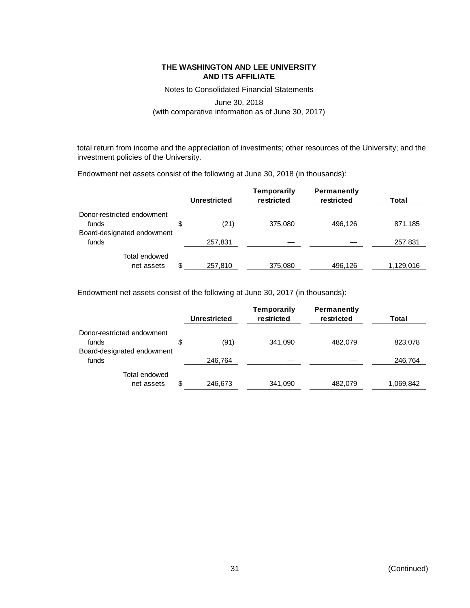Notes to Consolidated Financial Statements

June 30, 2018 (with comparative information as of June 30, 2017)

total return from income and the appreciation of investments; other resources of the University; and the investment policies of the University.

Endowment net assets consist of the following at June 30, 2018 (in thousands):

|                                     |    | <b>Unrestricted</b> | Temporarily<br>restricted | <b>Permanently</b><br>restricted | Total     |
|-------------------------------------|----|---------------------|---------------------------|----------------------------------|-----------|
| Donor-restricted endowment<br>funds | \$ | (21)                | 375,080                   | 496,126                          | 871,185   |
| Board-designated endowment<br>funds |    | 257,831             |                           |                                  | 257,831   |
| Total endowed<br>net assets         | S  | 257,810             | 375,080                   | 496,126                          | 1,129,016 |

Endowment net assets consist of the following at June 30, 2017 (in thousands):

|                            |   | <b>Unrestricted</b> | Temporarily<br>restricted | <b>Permanently</b><br>restricted | Total     |
|----------------------------|---|---------------------|---------------------------|----------------------------------|-----------|
| Donor-restricted endowment |   |                     |                           |                                  |           |
| funds                      | S | (91)                | 341,090                   | 482,079                          | 823,078   |
| Board-designated endowment |   |                     |                           |                                  |           |
| funds                      |   | 246,764             |                           |                                  | 246,764   |
| Total endowed              |   |                     |                           |                                  |           |
| net assets                 | S | 246,673             | 341,090                   | 482,079                          | 1,069,842 |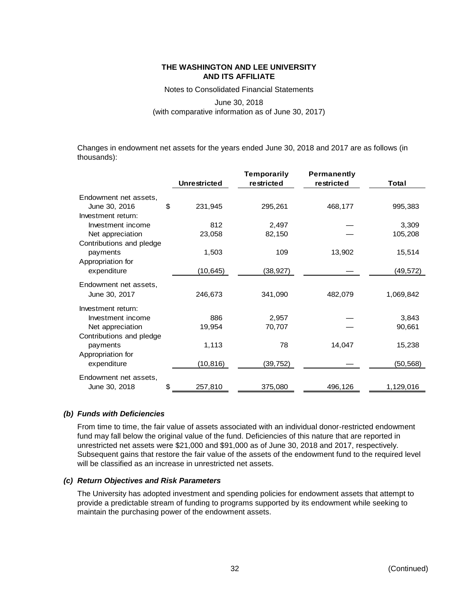Notes to Consolidated Financial Statements

# June 30, 2018 (with comparative information as of June 30, 2017)

Changes in endowment net assets for the years ended June 30, 2018 and 2017 are as follows (in thousands):

|                          |                     | Temporarily | <b>Permanently</b> |           |
|--------------------------|---------------------|-------------|--------------------|-----------|
|                          | <b>Unrestricted</b> | restricted  | restricted         | Total     |
| Endowment net assets,    |                     |             |                    |           |
| June 30, 2016            | \$<br>231,945       | 295,261     | 468,177            | 995,383   |
| Investment return:       |                     |             |                    |           |
| Investment income        | 812                 | 2,497       |                    | 3,309     |
| Net appreciation         | 23,058              | 82,150      |                    | 105,208   |
| Contributions and pledge |                     |             |                    |           |
| payments                 | 1,503               | 109         | 13,902             | 15,514    |
| Appropriation for        |                     |             |                    |           |
| expenditure              | (10, 645)           | (38, 927)   |                    | (49, 572) |
| Endowment net assets,    |                     |             |                    |           |
| June 30, 2017            | 246,673             | 341,090     | 482,079            | 1,069,842 |
| Investment return:       |                     |             |                    |           |
| Investment income        | 886                 | 2,957       |                    | 3,843     |
| Net appreciation         | 19,954              | 70,707      |                    | 90,661    |
| Contributions and pledge |                     |             |                    |           |
| payments                 | 1,113               | 78          | 14,047             | 15,238    |
| Appropriation for        |                     |             |                    |           |
| expenditure              | (10, 816)           | (39, 752)   |                    | (50, 568) |
| Endowment net assets,    |                     |             |                    |           |
| June 30, 2018            | \$<br>257,810       | 375,080     | 496,126            | 1,129,016 |

# *(b) Funds with Deficiencies*

From time to time, the fair value of assets associated with an individual donor-restricted endowment fund may fall below the original value of the fund. Deficiencies of this nature that are reported in unrestricted net assets were \$21,000 and \$91,000 as of June 30, 2018 and 2017, respectively. Subsequent gains that restore the fair value of the assets of the endowment fund to the required level will be classified as an increase in unrestricted net assets.

# *(c) Return Objectives and Risk Parameters*

The University has adopted investment and spending policies for endowment assets that attempt to provide a predictable stream of funding to programs supported by its endowment while seeking to maintain the purchasing power of the endowment assets.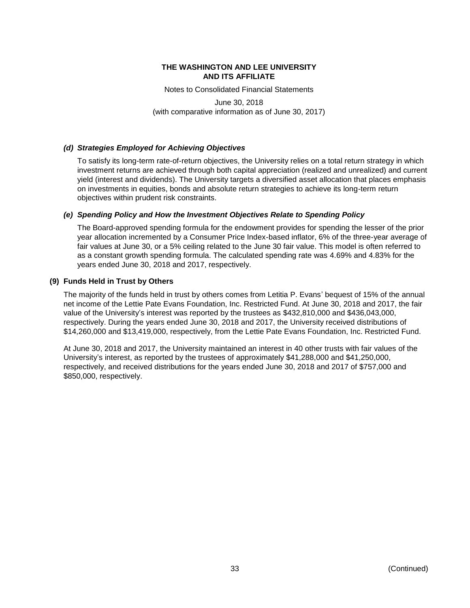Notes to Consolidated Financial Statements

June 30, 2018 (with comparative information as of June 30, 2017)

# *(d) Strategies Employed for Achieving Objectives*

To satisfy its long-term rate-of-return objectives, the University relies on a total return strategy in which investment returns are achieved through both capital appreciation (realized and unrealized) and current yield (interest and dividends). The University targets a diversified asset allocation that places emphasis on investments in equities, bonds and absolute return strategies to achieve its long-term return objectives within prudent risk constraints.

# *(e) Spending Policy and How the Investment Objectives Relate to Spending Policy*

The Board-approved spending formula for the endowment provides for spending the lesser of the prior year allocation incremented by a Consumer Price Index-based inflator, 6% of the three-year average of fair values at June 30, or a 5% ceiling related to the June 30 fair value. This model is often referred to as a constant growth spending formula. The calculated spending rate was 4.69% and 4.83% for the years ended June 30, 2018 and 2017, respectively.

# **(9) Funds Held in Trust by Others**

The majority of the funds held in trust by others comes from Letitia P. Evans' bequest of 15% of the annual net income of the Lettie Pate Evans Foundation, Inc. Restricted Fund. At June 30, 2018 and 2017, the fair value of the University's interest was reported by the trustees as \$432,810,000 and \$436,043,000, respectively. During the years ended June 30, 2018 and 2017, the University received distributions of \$14,260,000 and \$13,419,000, respectively, from the Lettie Pate Evans Foundation, Inc. Restricted Fund.

At June 30, 2018 and 2017, the University maintained an interest in 40 other trusts with fair values of the University's interest, as reported by the trustees of approximately \$41,288,000 and \$41,250,000, respectively, and received distributions for the years ended June 30, 2018 and 2017 of \$757,000 and \$850,000, respectively.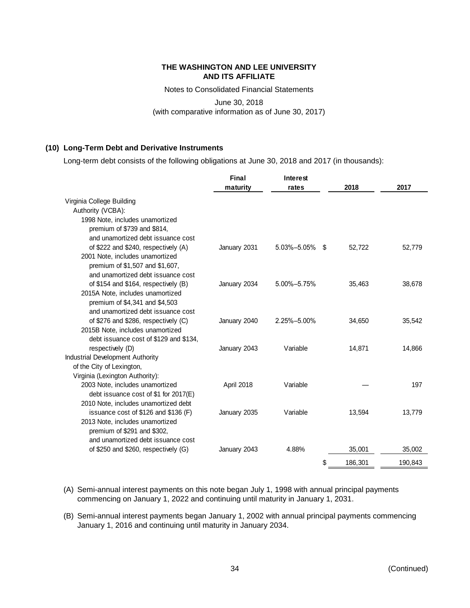Notes to Consolidated Financial Statements

June 30, 2018 (with comparative information as of June 30, 2017)

# **(10) Long-Term Debt and Derivative Instruments**

Long-term debt consists of the following obligations at June 30, 2018 and 2017 (in thousands):

|                                         | Final        | Interest    |      |         |         |
|-----------------------------------------|--------------|-------------|------|---------|---------|
|                                         | maturity     | rates       |      | 2018    | 2017    |
| Virginia College Building               |              |             |      |         |         |
| Authority (VCBA):                       |              |             |      |         |         |
| 1998 Note, includes unamortized         |              |             |      |         |         |
| premium of \$739 and \$814,             |              |             |      |         |         |
| and unamortized debt issuance cost      |              |             |      |         |         |
| of \$222 and \$240, respectively (A)    | January 2031 | 5.03%-5.05% | - \$ | 52,722  | 52,779  |
| 2001 Note, includes unamortized         |              |             |      |         |         |
| premium of \$1,507 and \$1,607,         |              |             |      |         |         |
| and unamortized debt issuance cost      |              |             |      |         |         |
| of \$154 and \$164, respectively (B)    | January 2034 | 5.00%-5.75% |      | 35,463  | 38,678  |
| 2015A Note, includes unamortized        |              |             |      |         |         |
| premium of \$4,341 and \$4,503          |              |             |      |         |         |
| and unamortized debt issuance cost      |              |             |      |         |         |
| of \$276 and \$286, respectively (C)    | January 2040 | 2.25%-5.00% |      | 34,650  | 35,542  |
| 2015B Note, includes unamortized        |              |             |      |         |         |
| debt issuance cost of \$129 and \$134,  |              |             |      |         |         |
| respectively (D)                        | January 2043 | Variable    |      | 14,871  | 14,866  |
| Industrial Development Authority        |              |             |      |         |         |
| of the City of Lexington,               |              |             |      |         |         |
| Virginia (Lexington Authority):         |              |             |      |         |         |
| 2003 Note, includes unamortized         | April 2018   | Variable    |      |         | 197     |
| debt issuance cost of \$1 for $2017(E)$ |              |             |      |         |         |
| 2010 Note, includes unamortized debt    |              |             |      |         |         |
| issuance cost of \$126 and \$136 (F)    | January 2035 | Variable    |      | 13,594  | 13,779  |
| 2013 Note, includes unamortized         |              |             |      |         |         |
| premium of \$291 and \$302,             |              |             |      |         |         |
| and unamortized debt issuance cost      |              |             |      |         |         |
| of \$250 and \$260, respectively (G)    | January 2043 | 4.88%       |      | 35,001  | 35,002  |
|                                         |              |             | \$   | 186,301 | 190.843 |

- (A) Semi-annual interest payments on this note began July 1, 1998 with annual principal payments commencing on January 1, 2022 and continuing until maturity in January 1, 2031.
- (B) Semi-annual interest payments began January 1, 2002 with annual principal payments commencing January 1, 2016 and continuing until maturity in January 2034.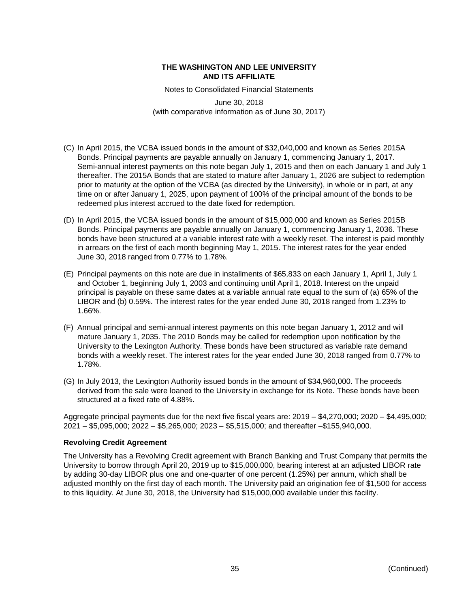Notes to Consolidated Financial Statements

June 30, 2018 (with comparative information as of June 30, 2017)

- (C) In April 2015, the VCBA issued bonds in the amount of \$32,040,000 and known as Series 2015A Bonds. Principal payments are payable annually on January 1, commencing January 1, 2017. Semi-annual interest payments on this note began July 1, 2015 and then on each January 1 and July 1 thereafter. The 2015A Bonds that are stated to mature after January 1, 2026 are subject to redemption prior to maturity at the option of the VCBA (as directed by the University), in whole or in part, at any time on or after January 1, 2025, upon payment of 100% of the principal amount of the bonds to be redeemed plus interest accrued to the date fixed for redemption.
- (D) In April 2015, the VCBA issued bonds in the amount of \$15,000,000 and known as Series 2015B Bonds. Principal payments are payable annually on January 1, commencing January 1, 2036. These bonds have been structured at a variable interest rate with a weekly reset. The interest is paid monthly in arrears on the first of each month beginning May 1, 2015. The interest rates for the year ended June 30, 2018 ranged from 0.77% to 1.78%.
- (E) Principal payments on this note are due in installments of \$65,833 on each January 1, April 1, July 1 and October 1, beginning July 1, 2003 and continuing until April 1, 2018. Interest on the unpaid principal is payable on these same dates at a variable annual rate equal to the sum of (a) 65% of the LIBOR and (b) 0.59%. The interest rates for the year ended June 30, 2018 ranged from 1.23% to 1.66%.
- (F) Annual principal and semi-annual interest payments on this note began January 1, 2012 and will mature January 1, 2035. The 2010 Bonds may be called for redemption upon notification by the University to the Lexington Authority. These bonds have been structured as variable rate demand bonds with a weekly reset. The interest rates for the year ended June 30, 2018 ranged from 0.77% to 1.78%.
- (G) In July 2013, the Lexington Authority issued bonds in the amount of \$34,960,000. The proceeds derived from the sale were loaned to the University in exchange for its Note. These bonds have been structured at a fixed rate of 4.88%.

Aggregate principal payments due for the next five fiscal years are: 2019 – \$4,270,000; 2020 – \$4,495,000; 2021 – \$5,095,000; 2022 – \$5,265,000; 2023 – \$5,515,000; and thereafter –\$155,940,000.

# **Revolving Credit Agreement**

The University has a Revolving Credit agreement with Branch Banking and Trust Company that permits the University to borrow through April 20, 2019 up to \$15,000,000, bearing interest at an adjusted LIBOR rate by adding 30-day LIBOR plus one and one-quarter of one percent (1.25%) per annum, which shall be adjusted monthly on the first day of each month. The University paid an origination fee of \$1,500 for access to this liquidity. At June 30, 2018, the University had \$15,000,000 available under this facility.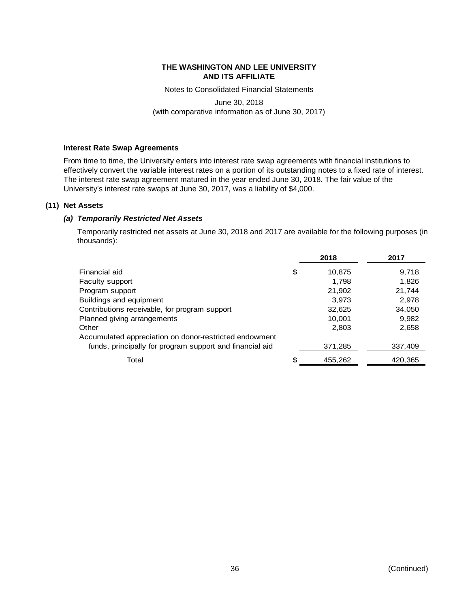Notes to Consolidated Financial Statements

June 30, 2018 (with comparative information as of June 30, 2017)

#### **Interest Rate Swap Agreements**

From time to time, the University enters into interest rate swap agreements with financial institutions to effectively convert the variable interest rates on a portion of its outstanding notes to a fixed rate of interest. The interest rate swap agreement matured in the year ended June 30, 2018. The fair value of the University's interest rate swaps at June 30, 2017, was a liability of \$4,000.

# **(11) Net Assets**

#### *(a) Temporarily Restricted Net Assets*

Temporarily restricted net assets at June 30, 2018 and 2017 are available for the following purposes (in thousands):

|                                                          | 2018          | 2017    |
|----------------------------------------------------------|---------------|---------|
| Financial aid                                            | \$<br>10,875  | 9,718   |
| Faculty support                                          | 1,798         | 1,826   |
| Program support                                          | 21.902        | 21,744  |
| Buildings and equipment                                  | 3.973         | 2.978   |
| Contributions receivable, for program support            | 32,625        | 34,050  |
| Planned giving arrangements                              | 10.001        | 9,982   |
| Other                                                    | 2,803         | 2,658   |
| Accumulated appreciation on donor-restricted endowment   |               |         |
| funds, principally for program support and financial aid | 371,285       | 337,409 |
| Total                                                    | \$<br>455.262 | 420.365 |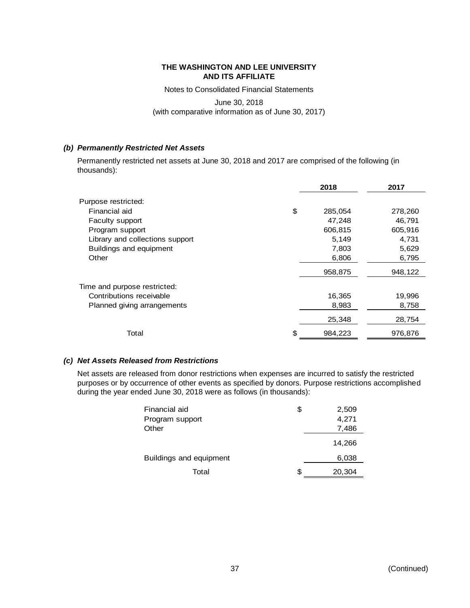Notes to Consolidated Financial Statements

June 30, 2018 (with comparative information as of June 30, 2017)

# *(b) Permanently Restricted Net Assets*

Permanently restricted net assets at June 30, 2018 and 2017 are comprised of the following (in thousands):

|                                 | 2018          | 2017    |
|---------------------------------|---------------|---------|
| Purpose restricted:             |               |         |
| Financial aid                   | \$<br>285,054 | 278,260 |
| Faculty support                 | 47,248        | 46,791  |
| Program support                 | 606,815       | 605,916 |
| Library and collections support | 5,149         | 4,731   |
| Buildings and equipment         | 7,803         | 5,629   |
| Other                           | 6,806         | 6,795   |
|                                 | 958,875       | 948,122 |
| Time and purpose restricted:    |               |         |
| Contributions receivable        | 16,365        | 19,996  |
| Planned giving arrangements     | 8,983         | 8,758   |
|                                 | 25,348        | 28,754  |
| Total                           | \$<br>984,223 | 976,876 |

# *(c) Net Assets Released from Restrictions*

Net assets are released from donor restrictions when expenses are incurred to satisfy the restricted purposes or by occurrence of other events as specified by donors. Purpose restrictions accomplished during the year ended June 30, 2018 were as follows (in thousands):

| Financial aid<br>Program support<br>Other | \$ | 2,509<br>4,271<br>7,486 |
|-------------------------------------------|----|-------------------------|
|                                           |    | 14,266                  |
| Buildings and equipment                   |    | 6,038                   |
| Total                                     | S  | 20,304                  |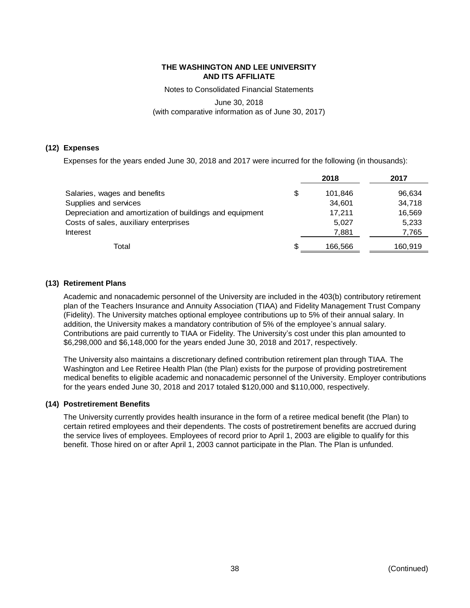Notes to Consolidated Financial Statements

June 30, 2018 (with comparative information as of June 30, 2017)

# **(12) Expenses**

Expenses for the years ended June 30, 2018 and 2017 were incurred for the following (in thousands):

|                                                          |    | 2018    | 2017    |
|----------------------------------------------------------|----|---------|---------|
| Salaries, wages and benefits                             | \$ | 101,846 | 96,634  |
| Supplies and services                                    |    | 34,601  | 34,718  |
| Depreciation and amortization of buildings and equipment |    | 17.211  | 16,569  |
| Costs of sales, auxiliary enterprises                    |    | 5,027   | 5,233   |
| <b>Interest</b>                                          |    | 7,881   | 7.765   |
| Total                                                    | ß. | 166,566 | 160,919 |

# **(13) Retirement Plans**

Academic and nonacademic personnel of the University are included in the 403(b) contributory retirement plan of the Teachers Insurance and Annuity Association (TIAA) and Fidelity Management Trust Company (Fidelity). The University matches optional employee contributions up to 5% of their annual salary. In addition, the University makes a mandatory contribution of 5% of the employee's annual salary. Contributions are paid currently to TIAA or Fidelity. The University's cost under this plan amounted to \$6,298,000 and \$6,148,000 for the years ended June 30, 2018 and 2017, respectively.

The University also maintains a discretionary defined contribution retirement plan through TIAA. The Washington and Lee Retiree Health Plan (the Plan) exists for the purpose of providing postretirement medical benefits to eligible academic and nonacademic personnel of the University. Employer contributions for the years ended June 30, 2018 and 2017 totaled \$120,000 and \$110,000, respectively.

# **(14) Postretirement Benefits**

The University currently provides health insurance in the form of a retiree medical benefit (the Plan) to certain retired employees and their dependents. The costs of postretirement benefits are accrued during the service lives of employees. Employees of record prior to April 1, 2003 are eligible to qualify for this benefit. Those hired on or after April 1, 2003 cannot participate in the Plan. The Plan is unfunded.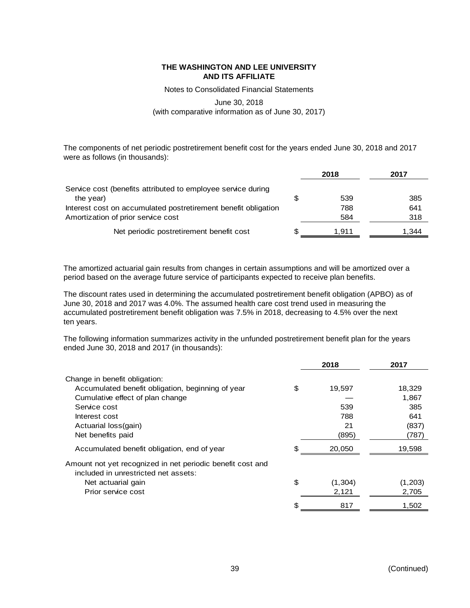Notes to Consolidated Financial Statements

# June 30, 2018 (with comparative information as of June 30, 2017)

The components of net periodic postretirement benefit cost for the years ended June 30, 2018 and 2017 were as follows (in thousands):

|                                                                | 2018  | 2017  |
|----------------------------------------------------------------|-------|-------|
| Service cost (benefits attributed to employee service during   |       |       |
| the year)                                                      | 539   | 385   |
| Interest cost on accumulated postretirement benefit obligation | 788   | 641   |
| Amortization of prior service cost                             | 584   | 318   |
| Net periodic postretirement benefit cost                       | 1.911 | 1.344 |

The amortized actuarial gain results from changes in certain assumptions and will be amortized over a period based on the average future service of participants expected to receive plan benefits.

The discount rates used in determining the accumulated postretirement benefit obligation (APBO) as of June 30, 2018 and 2017 was 4.0%. The assumed health care cost trend used in measuring the accumulated postretirement benefit obligation was 7.5% in 2018, decreasing to 4.5% over the next ten years.

The following information summarizes activity in the unfunded postretirement benefit plan for the years ended June 30, 2018 and 2017 (in thousands):

|                                                            | 2018           | 2017    |
|------------------------------------------------------------|----------------|---------|
| Change in benefit obligation:                              |                |         |
| Accumulated benefit obligation, beginning of year          | \$<br>19,597   | 18,329  |
| Cumulative effect of plan change                           |                | 1.867   |
| Service cost                                               | 539            | 385     |
| Interest cost                                              | 788            | 641     |
| Actuarial loss(gain)                                       | 21             | (837)   |
| Net benefits paid                                          | (895)          | (787)   |
| Accumulated benefit obligation, end of year                | 20,050         | 19,598  |
| Amount not yet recognized in net periodic benefit cost and |                |         |
| included in unrestricted net assets:                       |                |         |
| Net actuarial gain                                         | \$<br>(1, 304) | (1,203) |
| Prior service cost                                         | 2,121          | 2,705   |
|                                                            | \$<br>817      | 1,502   |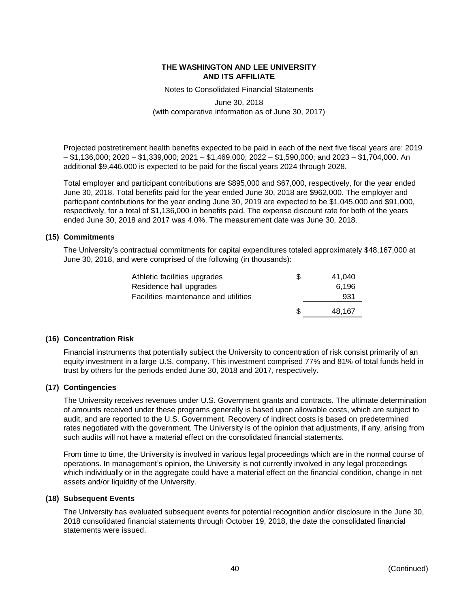Notes to Consolidated Financial Statements

June 30, 2018 (with comparative information as of June 30, 2017)

Projected postretirement health benefits expected to be paid in each of the next five fiscal years are: 2019 – \$1,136,000; 2020 – \$1,339,000; 2021 – \$1,469,000; 2022 – \$1,590,000; and 2023 – \$1,704,000. An additional \$9,446,000 is expected to be paid for the fiscal years 2024 through 2028.

Total employer and participant contributions are \$895,000 and \$67,000, respectively, for the year ended June 30, 2018. Total benefits paid for the year ended June 30, 2018 are \$962,000. The employer and participant contributions for the year ending June 30, 2019 are expected to be \$1,045,000 and \$91,000, respectively, for a total of \$1,136,000 in benefits paid. The expense discount rate for both of the years ended June 30, 2018 and 2017 was 4.0%. The measurement date was June 30, 2018.

# **(15) Commitments**

The University's contractual commitments for capital expenditures totaled approximately \$48,167,000 at June 30, 2018, and were comprised of the following (in thousands):

| Athletic facilities upgrades         | \$. | 41.040 |
|--------------------------------------|-----|--------|
| Residence hall upgrades              |     | 6.196  |
| Facilities maintenance and utilities |     | 931    |
|                                      | ß.  | 48,167 |

# **(16) Concentration Risk**

Financial instruments that potentially subject the University to concentration of risk consist primarily of an equity investment in a large U.S. company. This investment comprised 77% and 81% of total funds held in trust by others for the periods ended June 30, 2018 and 2017, respectively.

# **(17) Contingencies**

The University receives revenues under U.S. Government grants and contracts. The ultimate determination of amounts received under these programs generally is based upon allowable costs, which are subject to audit, and are reported to the U.S. Government. Recovery of indirect costs is based on predetermined rates negotiated with the government. The University is of the opinion that adjustments, if any, arising from such audits will not have a material effect on the consolidated financial statements.

From time to time, the University is involved in various legal proceedings which are in the normal course of operations. In management's opinion, the University is not currently involved in any legal proceedings which individually or in the aggregate could have a material effect on the financial condition, change in net assets and/or liquidity of the University.

# **(18) Subsequent Events**

The University has evaluated subsequent events for potential recognition and/or disclosure in the June 30, 2018 consolidated financial statements through October 19, 2018, the date the consolidated financial statements were issued.